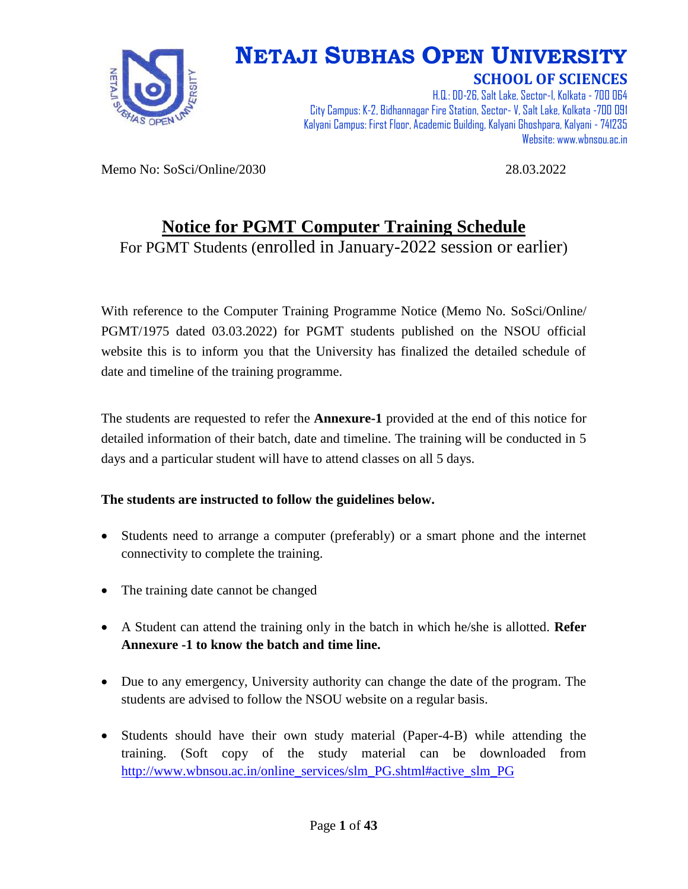

# **NETAJI SUBHAS OPEN UNIVERSITY**

**SCHOOL OF SCIENCES**

H.Q.: DD-26, Salt Lake, Sector-I, Kolkata - 700 064 City Campus: K-2, Bidhannagar Fire Station, Sector-V, Salt Lake, Kolkata -700 091 Kalyani Campus: First Floor, Academic Building, Kalyani Ghoshpara, Kalyani - 741235 Website: www.wbnsou.ac.in

Memo No: SoSci/Online/2030 28.03.2022

#### **Notice for PGMT Computer Training Schedule**

For PGMT Students (enrolled in January-2022 session or earlier)

With reference to the Computer Training Programme Notice (Memo No. SoSci/Online/ PGMT/1975 dated 03.03.2022) for PGMT students published on the NSOU official website this is to inform you that the University has finalized the detailed schedule of date and timeline of the training programme.

The students are requested to refer the **Annexure-1** provided at the end of this notice for detailed information of their batch, date and timeline. The training will be conducted in 5 days and a particular student will have to attend classes on all 5 days.

#### **The students are instructed to follow the guidelines below.**

- Students need to arrange a computer (preferably) or a smart phone and the internet connectivity to complete the training.
- The training date cannot be changed
- A Student can attend the training only in the batch in which he/she is allotted. **Refer Annexure -1 to know the batch and time line.**
- Due to any emergency, University authority can change the date of the program. The students are advised to follow the NSOU website on a regular basis.
- Students should have their own study material (Paper-4-B) while attending the training. (Soft copy of the study material can be downloaded from [http://www.wbnsou.ac.in/online\\_services/slm\\_PG.shtml#active\\_slm\\_PG](http://www.wbnsou.ac.in/online_services/slm_PG.shtml#active_slm_PG)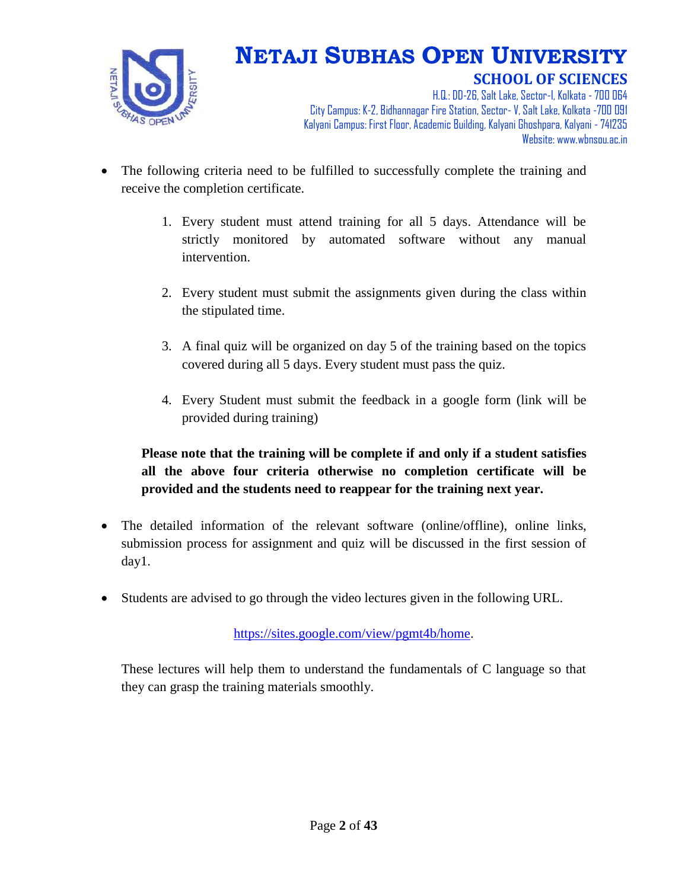

H.Q.: DD-26, Salt Lake, Sector-I, Kolkata - 700 064 City Campus: K-2, Bidhannagar Fire Station, Sector-V, Salt Lake, Kolkata -700 091 Kalyani Campus: First Floor, Academic Building, Kalyani Ghoshpara, Kalyani - 741235 Website: www.wbnsou.ac.in

- The following criteria need to be fulfilled to successfully complete the training and receive the completion certificate.
	- 1. Every student must attend training for all 5 days. Attendance will be strictly monitored by automated software without any manual intervention.
	- 2. Every student must submit the assignments given during the class within the stipulated time.
	- 3. A final quiz will be organized on day 5 of the training based on the topics covered during all 5 days. Every student must pass the quiz.
	- 4. Every Student must submit the feedback in a google form (link will be provided during training)

#### **Please note that the training will be complete if and only if a student satisfies all the above four criteria otherwise no completion certificate will be provided and the students need to reappear for the training next year.**

- The detailed information of the relevant software (online/offline), online links, submission process for assignment and quiz will be discussed in the first session of day1.
- Students are advised to go through the video lectures given in the following URL.

[https://sites.google.com/view/pgmt4b/home.](https://sites.google.com/view/pgmt4b/home)

These lectures will help them to understand the fundamentals of C language so that they can grasp the training materials smoothly.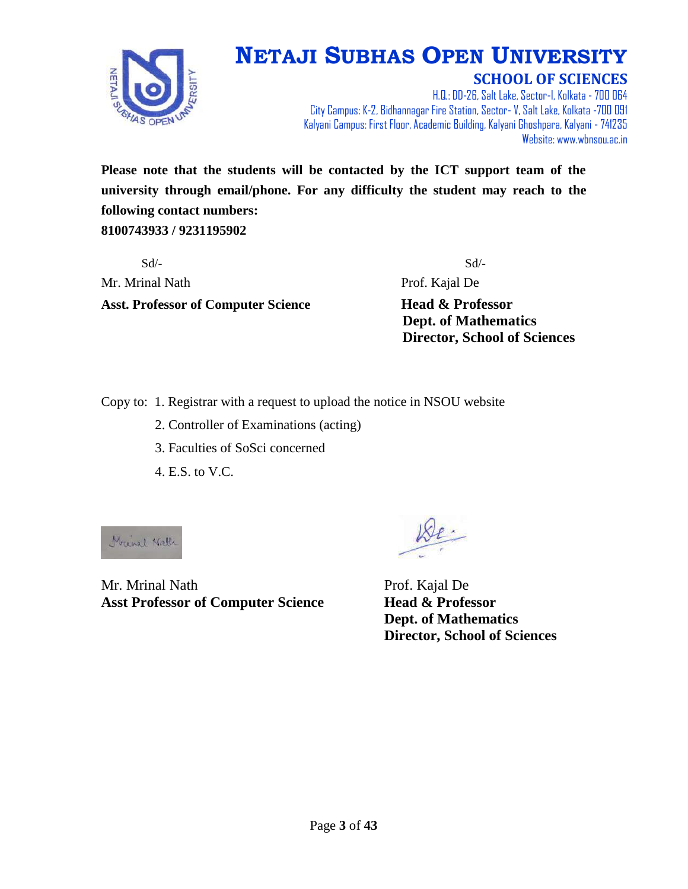

H.Q.: DD-26, Salt Lake, Sector-I, Kolkata - 700 064 City Campus: K-2, Bidhannagar Fire Station, Sector-V, Salt Lake, Kolkata -700 091 Kalyani Campus: First Floor, Academic Building, Kalyani Ghoshpara, Kalyani - 741235 Website: www.wbnsou.ac.in

**Please note that the students will be contacted by the ICT support team of the university through email/phone. For any difficulty the student may reach to the following contact numbers:** 

**8100743933 / 9231195902**

 $Sd$ - $Sd$ -Mr. Mrinal Nath **Prof. Kajal De Asst. Professor of Computer Science Head & Professor**

 **Dept. of Mathematics Director, School of Sciences**

Copy to: 1. Registrar with a request to upload the notice in NSOU website

- 2. Controller of Examinations (acting)
- 3. Faculties of SoSci concerned
- 4. E.S. to V.C.

Michael Nath

Mr. Mrinal Nath Prof. Kajal De **Asst Professor of Computer Science Head & Professor**

 **Dept. of Mathematics Director, School of Sciences**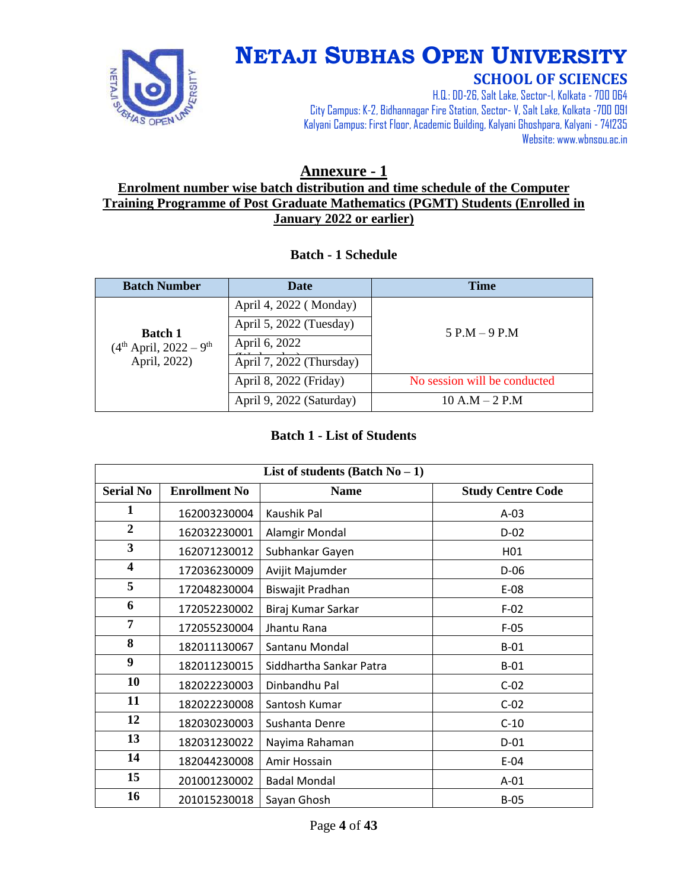

# **NETAJI SUBHAS OPEN UNIVERSITY**

#### **SCHOOL OF SCIENCES**

H.Q.: DD-26, Salt Lake, Sector-I, Kolkata - 700 064 City Campus: K-2, Bidhannagar Fire Station, Sector-V, Salt Lake, Kolkata -700 091 Kalyani Campus: First Floor, Academic Building, Kalyani Ghoshpara, Kalyani - 741235 Website: www.wbnsou.ac.in

#### **Annexure - 1 Enrolment number wise batch distribution and time schedule of the Computer Training Programme of Post Graduate Mathematics (PGMT) Students (Enrolled in January 2022 or earlier)**

#### **Batch - 1 Schedule**

| <b>Batch Number</b>                                                    | Date                     | <b>Time</b>                  |
|------------------------------------------------------------------------|--------------------------|------------------------------|
| <b>Batch 1</b><br>$(4th$ April, 2022 – 9 <sup>th</sup><br>April, 2022) | April 4, 2022 (Monday)   |                              |
|                                                                        | April 5, 2022 (Tuesday)  | $5 P.M - 9 P.M$              |
|                                                                        | April 6, 2022            |                              |
|                                                                        | April 7, 2022 (Thursday) |                              |
|                                                                        | April 8, 2022 (Friday)   | No session will be conducted |
|                                                                        | April 9, 2022 (Saturday) | $10 A.M - 2 P.M$             |

#### **Batch 1 - List of Students**

| List of students (Batch $No-1$ ) |                      |                         |                          |
|----------------------------------|----------------------|-------------------------|--------------------------|
| <b>Serial No</b>                 | <b>Enrollment No</b> | <b>Name</b>             | <b>Study Centre Code</b> |
| 1                                | 162003230004         | Kaushik Pal             | $A-03$                   |
| $\overline{2}$                   | 162032230001         | Alamgir Mondal          | $D-02$                   |
| 3                                | 162071230012         | Subhankar Gayen         | H <sub>01</sub>          |
| 4                                | 172036230009         | Avijit Majumder         | D-06                     |
| 5                                | 172048230004         | Biswajit Pradhan        | E-08                     |
| 6                                | 172052230002         | Biraj Kumar Sarkar      | $F-02$                   |
| $\overline{7}$                   | 172055230004         | Jhantu Rana             | $F-05$                   |
| 8                                | 182011130067         | Santanu Mondal          | $B-01$                   |
| $\boldsymbol{9}$                 | 182011230015         | Siddhartha Sankar Patra | $B-01$                   |
| 10                               | 182022230003         | Dinbandhu Pal           | $C-02$                   |
| 11                               | 182022230008         | Santosh Kumar           | $C-02$                   |
| 12                               | 182030230003         | Sushanta Denre          | $C-10$                   |
| 13                               | 182031230022         | Nayima Rahaman          | $D-01$                   |
| 14                               | 182044230008         | Amir Hossain            | $E-04$                   |
| 15                               | 201001230002         | <b>Badal Mondal</b>     | $A-01$                   |
| 16                               | 201015230018         | Sayan Ghosh             | $B-05$                   |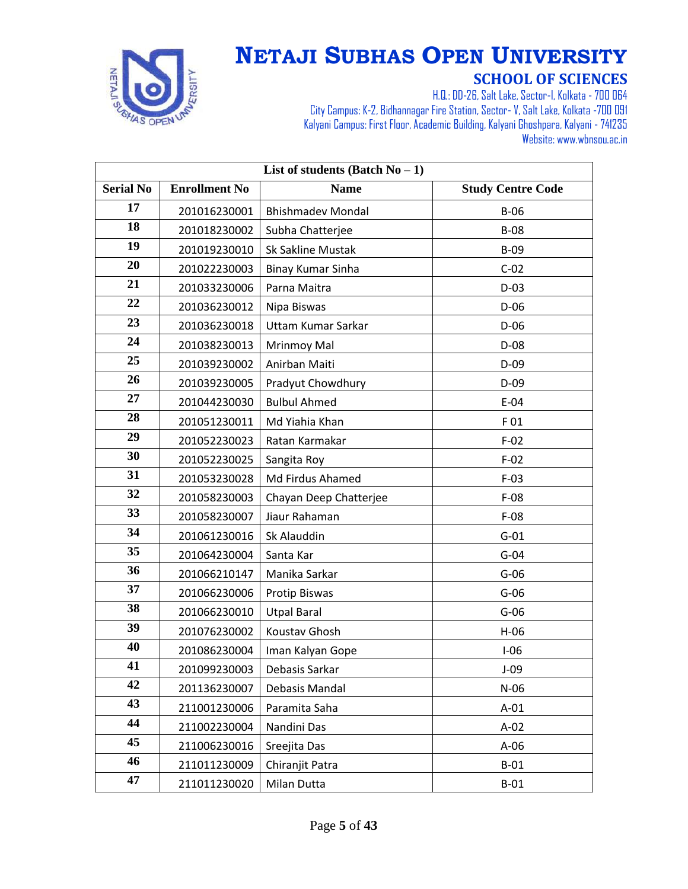

| List of students (Batch $No-1$ ) |                      |                          |                          |
|----------------------------------|----------------------|--------------------------|--------------------------|
| <b>Serial No</b>                 | <b>Enrollment No</b> | <b>Name</b>              | <b>Study Centre Code</b> |
| 17                               | 201016230001         | <b>Bhishmadev Mondal</b> | $B-06$                   |
| 18                               | 201018230002         | Subha Chatterjee         | <b>B-08</b>              |
| 19                               | 201019230010         | Sk Sakline Mustak        | $B-09$                   |
| 20                               | 201022230003         | Binay Kumar Sinha        | $C-02$                   |
| 21                               | 201033230006         | Parna Maitra             | $D-03$                   |
| 22                               | 201036230012         | Nipa Biswas              | $D-06$                   |
| 23                               | 201036230018         | Uttam Kumar Sarkar       | $D-06$                   |
| 24                               | 201038230013         | Mrinmoy Mal              | $D-08$                   |
| 25                               | 201039230002         | Anirban Maiti            | $D-09$                   |
| 26                               | 201039230005         | Pradyut Chowdhury        | $D-09$                   |
| 27                               | 201044230030         | <b>Bulbul Ahmed</b>      | $E-04$                   |
| 28                               | 201051230011         | Md Yiahia Khan           | F 01                     |
| 29                               | 201052230023         | Ratan Karmakar           | $F-02$                   |
| 30                               | 201052230025         | Sangita Roy              | $F-02$                   |
| 31                               | 201053230028         | Md Firdus Ahamed         | $F-03$                   |
| 32                               | 201058230003         | Chayan Deep Chatterjee   | $F-08$                   |
| 33                               | 201058230007         | Jiaur Rahaman            | $F-08$                   |
| 34                               | 201061230016         | Sk Alauddin              | $G-01$                   |
| 35                               | 201064230004         | Santa Kar                | $G-04$                   |
| 36                               | 201066210147         | Manika Sarkar            | $G-06$                   |
| 37                               | 201066230006         | Protip Biswas            | $G-06$                   |
| 38                               | 201066230010         | <b>Utpal Baral</b>       | $G-06$                   |
| 39                               | 201076230002         | Koustav Ghosh            | $H-06$                   |
| 40                               | 201086230004         | Iman Kalyan Gope         | $I-06$                   |
| 41                               | 201099230003         | Debasis Sarkar           | $J-09$                   |
| 42                               | 201136230007         | Debasis Mandal           | $N-06$                   |
| 43                               | 211001230006         | Paramita Saha            | $A-01$                   |
| 44                               | 211002230004         | Nandini Das              | $A-02$                   |
| 45                               | 211006230016         | Sreejita Das             | $A-06$                   |
| 46                               | 211011230009         | Chiranjit Patra          | $B-01$                   |
| 47                               | 211011230020         | Milan Dutta              | $B-01$                   |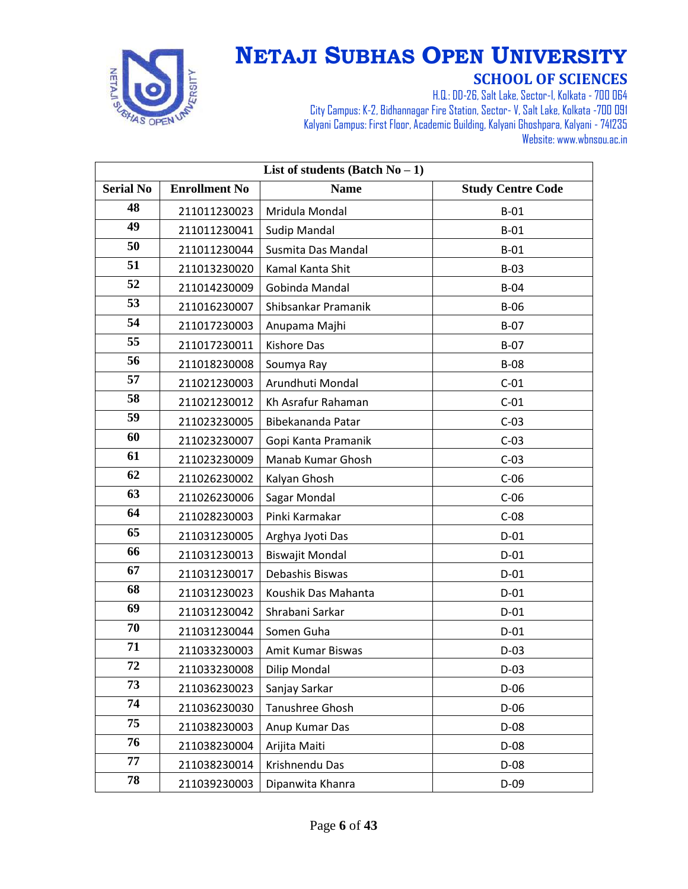

| List of students (Batch $No-1$ ) |                      |                        |                          |
|----------------------------------|----------------------|------------------------|--------------------------|
| <b>Serial No</b>                 | <b>Enrollment No</b> | <b>Name</b>            | <b>Study Centre Code</b> |
| 48                               | 211011230023         | Mridula Mondal         | $B-01$                   |
| 49                               | 211011230041         | <b>Sudip Mandal</b>    | $B-01$                   |
| 50                               | 211011230044         | Susmita Das Mandal     | $B-01$                   |
| 51                               | 211013230020         | Kamal Kanta Shit       | $B-03$                   |
| 52                               | 211014230009         | Gobinda Mandal         | $B-04$                   |
| 53                               | 211016230007         | Shibsankar Pramanik    | $B-06$                   |
| 54                               | 211017230003         | Anupama Majhi          | $B-07$                   |
| 55                               | 211017230011         | Kishore Das            | $B-07$                   |
| 56                               | 211018230008         | Soumya Ray             | <b>B-08</b>              |
| 57                               | 211021230003         | Arundhuti Mondal       | $C-01$                   |
| 58                               | 211021230012         | Kh Asrafur Rahaman     | $C-01$                   |
| 59                               | 211023230005         | Bibekananda Patar      | $C-03$                   |
| 60                               | 211023230007         | Gopi Kanta Pramanik    | $C-03$                   |
| 61                               | 211023230009         | Manab Kumar Ghosh      | $C-03$                   |
| 62                               | 211026230002         | Kalyan Ghosh           | $C-06$                   |
| 63                               | 211026230006         | Sagar Mondal           | $C-06$                   |
| 64                               | 211028230003         | Pinki Karmakar         | $C-08$                   |
| 65                               | 211031230005         | Arghya Jyoti Das       | $D-01$                   |
| 66                               | 211031230013         | <b>Biswajit Mondal</b> | $D-01$                   |
| 67                               | 211031230017         | Debashis Biswas        | $D-01$                   |
| 68                               | 211031230023         | Koushik Das Mahanta    | $D-01$                   |
| 69                               | 211031230042         | Shrabani Sarkar        | $D-01$                   |
| 70                               | 211031230044         | Somen Guha             | $D-01$                   |
| 71                               | 211033230003         | Amit Kumar Biswas      | $D-03$                   |
| 72                               | 211033230008         | <b>Dilip Mondal</b>    | $D-03$                   |
| 73                               | 211036230023         | Sanjay Sarkar          | $D-06$                   |
| 74                               | 211036230030         | Tanushree Ghosh        | $D-06$                   |
| 75                               | 211038230003         | Anup Kumar Das         | $D-08$                   |
| 76                               | 211038230004         | Arijita Maiti          | $D-08$                   |
| 77                               | 211038230014         | Krishnendu Das         | D-08                     |
| 78                               | 211039230003         | Dipanwita Khanra       | $D-09$                   |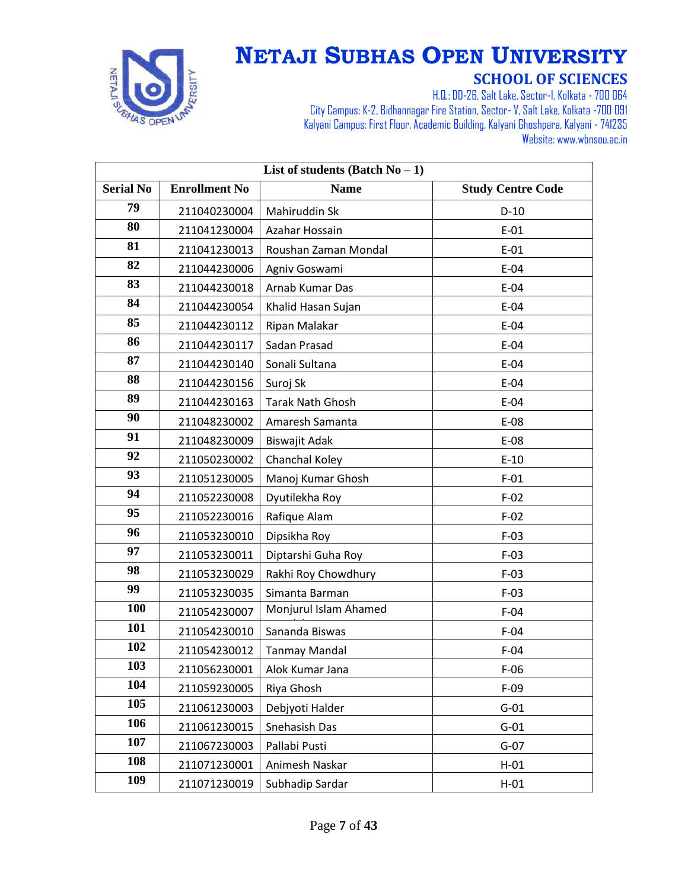

| List of students (Batch $No-1$ ) |                      |                         |                          |
|----------------------------------|----------------------|-------------------------|--------------------------|
| <b>Serial No</b>                 | <b>Enrollment No</b> | <b>Name</b>             | <b>Study Centre Code</b> |
| 79                               | 211040230004         | Mahiruddin Sk           | $D-10$                   |
| 80                               | 211041230004         | Azahar Hossain          | $E-01$                   |
| 81                               | 211041230013         | Roushan Zaman Mondal    | $E-01$                   |
| 82                               | 211044230006         | Agniv Goswami           | $E-04$                   |
| 83                               | 211044230018         | Arnab Kumar Das         | $E-04$                   |
| 84                               | 211044230054         | Khalid Hasan Sujan      | $E-04$                   |
| 85                               | 211044230112         | Ripan Malakar           | $E-04$                   |
| 86                               | 211044230117         | Sadan Prasad            | $E-04$                   |
| 87                               | 211044230140         | Sonali Sultana          | $E-04$                   |
| 88                               | 211044230156         | Suroj Sk                | $E-04$                   |
| 89                               | 211044230163         | <b>Tarak Nath Ghosh</b> | $E-04$                   |
| 90                               | 211048230002         | Amaresh Samanta         | E-08                     |
| 91                               | 211048230009         | Biswajit Adak           | $E-08$                   |
| 92                               | 211050230002         | Chanchal Koley          | $E-10$                   |
| 93                               | 211051230005         | Manoj Kumar Ghosh       | $F-01$                   |
| 94                               | 211052230008         | Dyutilekha Roy          | $F-02$                   |
| 95                               | 211052230016         | Rafique Alam            | $F-02$                   |
| 96                               | 211053230010         | Dipsikha Roy            | $F-03$                   |
| 97                               | 211053230011         | Diptarshi Guha Roy      | $F-03$                   |
| 98                               | 211053230029         | Rakhi Roy Chowdhury     | $F-03$                   |
| 99                               | 211053230035         | Simanta Barman          | $F-03$                   |
| 100                              | 211054230007         | Monjurul Islam Ahamed   | $F-04$                   |
| 101                              | 211054230010         | Sananda Biswas          | $F-04$                   |
| 102                              | 211054230012         | <b>Tanmay Mandal</b>    | $F-04$                   |
| 103                              | 211056230001         | Alok Kumar Jana         | $F-06$                   |
| 104                              | 211059230005         | Riya Ghosh              | $F-09$                   |
| 105                              | 211061230003         | Debjyoti Halder         | $G-01$                   |
| 106                              | 211061230015         | Snehasish Das           | $G-01$                   |
| 107                              | 211067230003         | Pallabi Pusti           | $G-07$                   |
| 108                              | 211071230001         | Animesh Naskar          | $H-01$                   |
| 109                              | 211071230019         | Subhadip Sardar         | $H-01$                   |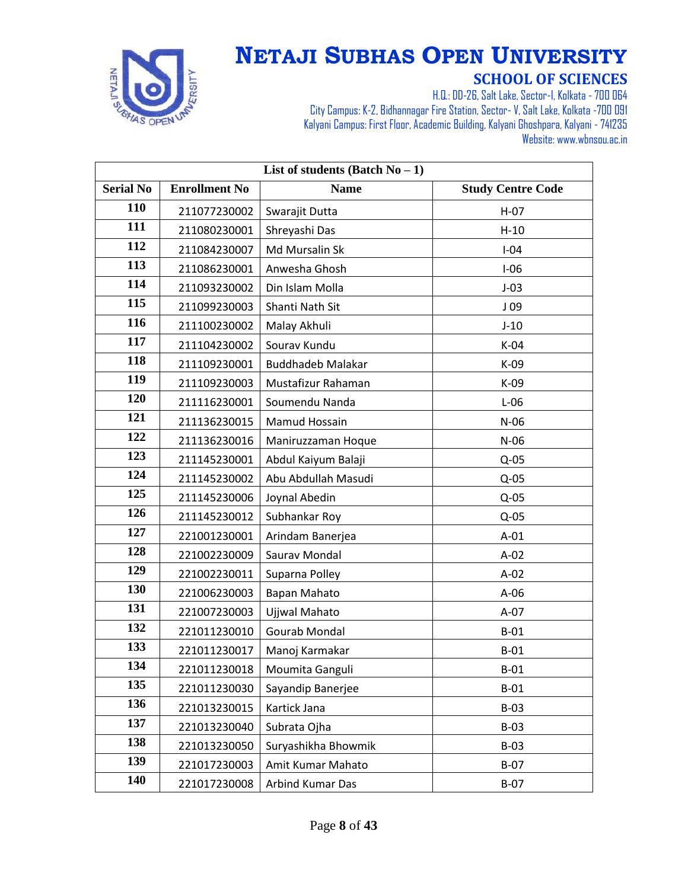

| List of students (Batch $No-1$ ) |                      |                          |                          |
|----------------------------------|----------------------|--------------------------|--------------------------|
| <b>Serial No</b>                 | <b>Enrollment No</b> | <b>Name</b>              | <b>Study Centre Code</b> |
| 110                              | 211077230002         | Swarajit Dutta           | $H-07$                   |
| 111                              | 211080230001         | Shreyashi Das            | $H-10$                   |
| 112                              | 211084230007         | Md Mursalin Sk           | $I-04$                   |
| 113                              | 211086230001         | Anwesha Ghosh            | $I-06$                   |
| 114                              | 211093230002         | Din Islam Molla          | $J-03$                   |
| 115                              | 211099230003         | Shanti Nath Sit          | J <sub>09</sub>          |
| 116                              | 211100230002         | Malay Akhuli             | $J-10$                   |
| 117                              | 211104230002         | Sourav Kundu             | K-04                     |
| 118                              | 211109230001         | <b>Buddhadeb Malakar</b> | K-09                     |
| 119                              | 211109230003         | Mustafizur Rahaman       | K-09                     |
| 120                              | 211116230001         | Soumendu Nanda           | $L-06$                   |
| 121                              | 211136230015         | Mamud Hossain            | $N-06$                   |
| 122                              | 211136230016         | Maniruzzaman Hoque       | $N-06$                   |
| 123                              | 211145230001         | Abdul Kaiyum Balaji      | $Q-05$                   |
| 124                              | 211145230002         | Abu Abdullah Masudi      | $Q-05$                   |
| 125                              | 211145230006         | Joynal Abedin            | $Q-05$                   |
| 126                              | 211145230012         | Subhankar Roy            | $Q-05$                   |
| 127                              | 221001230001         | Arindam Banerjea         | $A-01$                   |
| 128                              | 221002230009         | Saurav Mondal            | $A-02$                   |
| 129                              | 221002230011         | Suparna Polley           | $A-02$                   |
| 130                              | 221006230003         | Bapan Mahato             | $A-06$                   |
| 131                              | 221007230003         | Ujjwal Mahato            | $A-07$                   |
| 132                              | 221011230010         | Gourab Mondal            | $B-01$                   |
| 133                              | 221011230017         | Manoj Karmakar           | $B-01$                   |
| 134                              | 221011230018         | Moumita Ganguli          | $B-01$                   |
| 135                              | 221011230030         | Sayandip Banerjee        | $B-01$                   |
| 136                              | 221013230015         | Kartick Jana             | $B-03$                   |
| 137                              | 221013230040         | Subrata Ojha             | $B-03$                   |
| 138                              | 221013230050         | Suryashikha Bhowmik      | $B-03$                   |
| 139                              | 221017230003         | Amit Kumar Mahato        | $B-07$                   |
| 140                              | 221017230008         | Arbind Kumar Das         | $B-07$                   |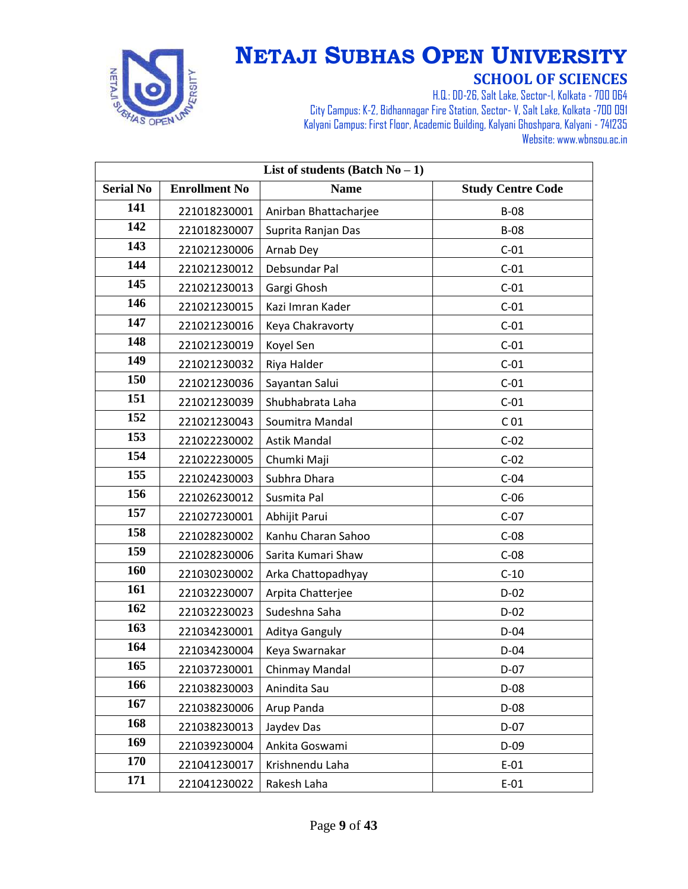

| List of students (Batch $No-1$ ) |                      |                       |                          |
|----------------------------------|----------------------|-----------------------|--------------------------|
| <b>Serial No</b>                 | <b>Enrollment No</b> | <b>Name</b>           | <b>Study Centre Code</b> |
| 141                              | 221018230001         | Anirban Bhattacharjee | $B-08$                   |
| 142                              | 221018230007         | Suprita Ranjan Das    | <b>B-08</b>              |
| 143                              | 221021230006         | Arnab Dey             | $C-01$                   |
| 144                              | 221021230012         | Debsundar Pal         | $C-01$                   |
| 145                              | 221021230013         | Gargi Ghosh           | $C-01$                   |
| 146                              | 221021230015         | Kazi Imran Kader      | $C-01$                   |
| 147                              | 221021230016         | Keya Chakravorty      | $C-01$                   |
| 148                              | 221021230019         | Koyel Sen             | $C-01$                   |
| 149                              | 221021230032         | Riya Halder           | $C-01$                   |
| 150                              | 221021230036         | Sayantan Salui        | $C-01$                   |
| 151                              | 221021230039         | Shubhabrata Laha      | $C-01$                   |
| 152                              | 221021230043         | Soumitra Mandal       | C <sub>01</sub>          |
| 153                              | 221022230002         | <b>Astik Mandal</b>   | $C-02$                   |
| 154                              | 221022230005         | Chumki Maji           | $C-02$                   |
| 155                              | 221024230003         | Subhra Dhara          | $C-04$                   |
| 156                              | 221026230012         | Susmita Pal           | $C-06$                   |
| 157                              | 221027230001         | Abhijit Parui         | $C-07$                   |
| 158                              | 221028230002         | Kanhu Charan Sahoo    | $C-08$                   |
| 159                              | 221028230006         | Sarita Kumari Shaw    | $C-08$                   |
| 160                              | 221030230002         | Arka Chattopadhyay    | $C-10$                   |
| 161                              | 221032230007         | Arpita Chatterjee     | $D-02$                   |
| 162                              | 221032230023         | Sudeshna Saha         | $D-02$                   |
| 163                              | 221034230001         | Aditya Ganguly        | $D-04$                   |
| 164                              | 221034230004         | Keya Swarnakar        | $D-04$                   |
| 165                              | 221037230001         | Chinmay Mandal        | $D-07$                   |
| 166                              | 221038230003         | Anindita Sau          | $D-08$                   |
| 167                              | 221038230006         | Arup Panda            | $D-08$                   |
| 168                              | 221038230013         | Jaydev Das            | $D-07$                   |
| 169                              | 221039230004         | Ankita Goswami        | $D-09$                   |
| 170                              | 221041230017         | Krishnendu Laha       | $E-01$                   |
| 171                              | 221041230022         | Rakesh Laha           | $E-01$                   |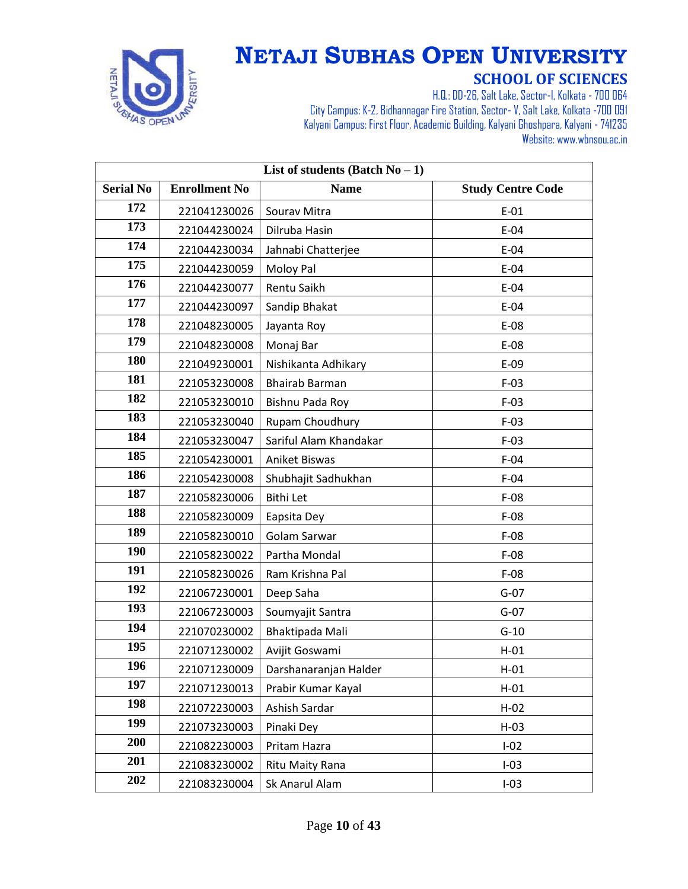

| List of students (Batch $No-1$ ) |                      |                        |                          |
|----------------------------------|----------------------|------------------------|--------------------------|
| <b>Serial No</b>                 | <b>Enrollment No</b> | <b>Name</b>            | <b>Study Centre Code</b> |
| 172                              | 221041230026         | Sourav Mitra           | $E-01$                   |
| 173                              | 221044230024         | Dilruba Hasin          | $E-04$                   |
| 174                              | 221044230034         | Jahnabi Chatterjee     | $E-04$                   |
| 175                              | 221044230059         | Moloy Pal              | $E-04$                   |
| 176                              | 221044230077         | Rentu Saikh            | $E-04$                   |
| 177                              | 221044230097         | Sandip Bhakat          | $E-04$                   |
| 178                              | 221048230005         | Jayanta Roy            | $E-08$                   |
| 179                              | 221048230008         | Monaj Bar              | E-08                     |
| 180                              | 221049230001         | Nishikanta Adhikary    | $E-09$                   |
| 181                              | 221053230008         | <b>Bhairab Barman</b>  | $F-03$                   |
| 182                              | 221053230010         | Bishnu Pada Roy        | $F-03$                   |
| 183                              | 221053230040         | Rupam Choudhury        | $F-03$                   |
| 184                              | 221053230047         | Sariful Alam Khandakar | $F-03$                   |
| 185                              | 221054230001         | Aniket Biswas          | $F-04$                   |
| 186                              | 221054230008         | Shubhajit Sadhukhan    | $F-04$                   |
| 187                              | 221058230006         | <b>Bithi Let</b>       | $F-08$                   |
| 188                              | 221058230009         | Eapsita Dey            | $F-08$                   |
| 189                              | 221058230010         | Golam Sarwar           | $F-08$                   |
| 190                              | 221058230022         | Partha Mondal          | $F-08$                   |
| 191                              | 221058230026         | Ram Krishna Pal        | $F-08$                   |
| 192                              | 221067230001         | Deep Saha              | $G-07$                   |
| 193                              | 221067230003         | Soumyajit Santra       | $G-07$                   |
| 194                              | 221070230002         | Bhaktipada Mali        | $G-10$                   |
| 195                              | 221071230002         | Avijit Goswami         | $H-01$                   |
| 196                              | 221071230009         | Darshanaranjan Halder  | $H-01$                   |
| 197                              | 221071230013         | Prabir Kumar Kayal     | $H-01$                   |
| 198                              | 221072230003         | Ashish Sardar          | $H-02$                   |
| 199                              | 221073230003         | Pinaki Dey             | $H-03$                   |
| 200                              | 221082230003         | Pritam Hazra           | $I-02$                   |
| 201                              | 221083230002         | Ritu Maity Rana        | $I-03$                   |
| 202                              | 221083230004         | Sk Anarul Alam         | $I-03$                   |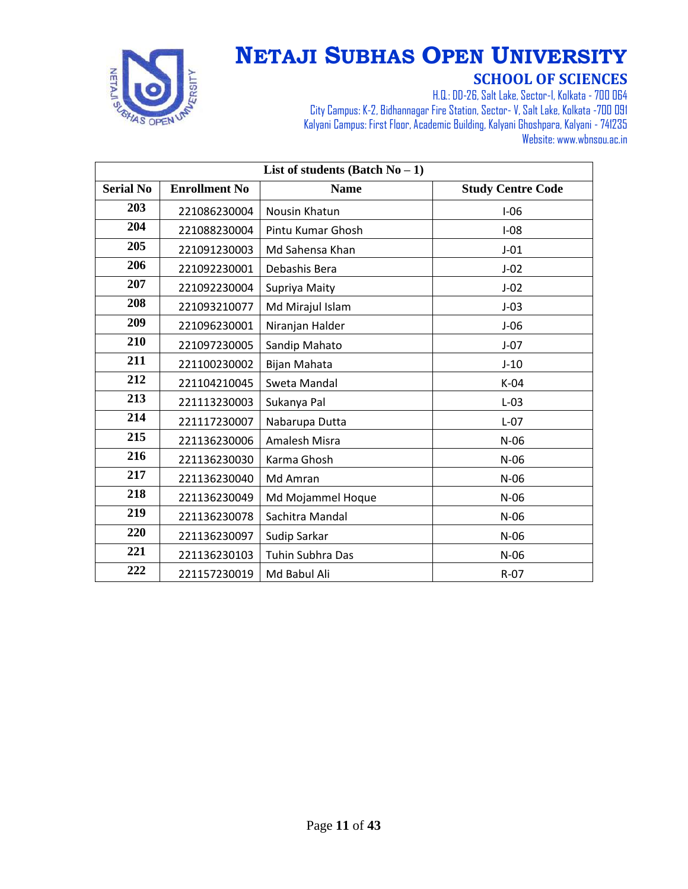

| List of students (Batch $No-1$ ) |                      |                         |                          |
|----------------------------------|----------------------|-------------------------|--------------------------|
| <b>Serial No</b>                 | <b>Enrollment No</b> | <b>Name</b>             | <b>Study Centre Code</b> |
| 203                              | 221086230004         | Nousin Khatun           | $I-06$                   |
| 204                              | 221088230004         | Pintu Kumar Ghosh       | $I-08$                   |
| 205                              | 221091230003         | Md Sahensa Khan         | $J-01$                   |
| 206                              | 221092230001         | Debashis Bera           | $J-02$                   |
| 207                              | 221092230004         | Supriya Maity           | $J-02$                   |
| 208                              | 221093210077         | Md Mirajul Islam        | $J-03$                   |
| 209                              | 221096230001         | Niranjan Halder         | $J-06$                   |
| 210                              | 221097230005         | Sandip Mahato           | $J-07$                   |
| 211                              | 221100230002         | Bijan Mahata            | $J-10$                   |
| 212                              | 221104210045         | Sweta Mandal            | $K-04$                   |
| 213                              | 221113230003         | Sukanya Pal             | $L-03$                   |
| 214                              | 221117230007         | Nabarupa Dutta          | $L-07$                   |
| 215                              | 221136230006         | Amalesh Misra           | $N-06$                   |
| 216                              | 221136230030         | Karma Ghosh             | $N-06$                   |
| 217                              | 221136230040         | Md Amran                | $N-06$                   |
| 218                              | 221136230049         | Md Mojammel Hoque       | $N-06$                   |
| 219                              | 221136230078         | Sachitra Mandal         | $N-06$                   |
| 220                              | 221136230097         | Sudip Sarkar            | $N-06$                   |
| 221                              | 221136230103         | <b>Tuhin Subhra Das</b> | $N-06$                   |
| 222                              | 221157230019         | Md Babul Ali            | $R-07$                   |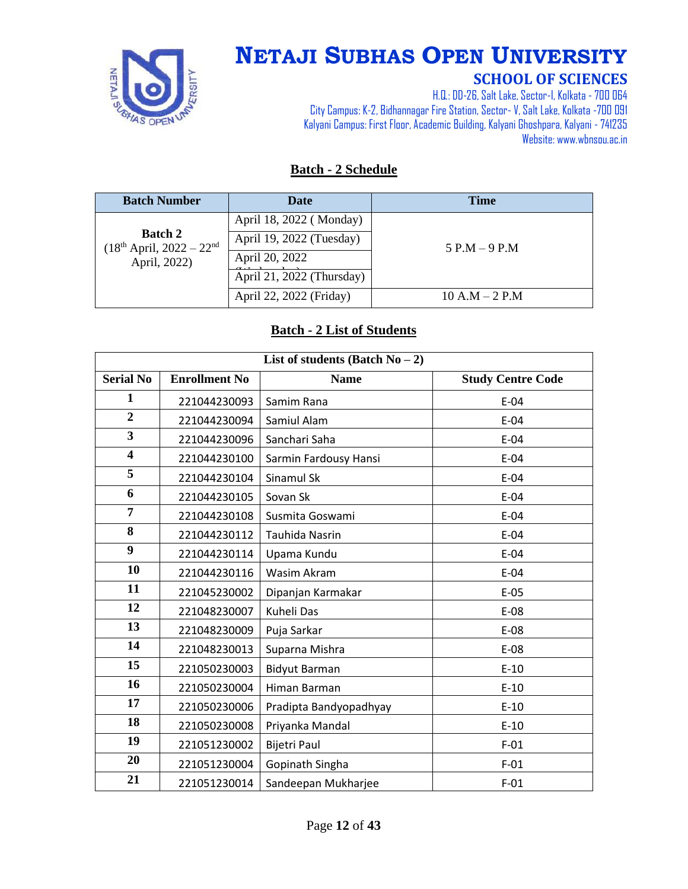

# **NETAJI SUBHAS OPEN UNIVERSITY**

#### **SCHOOL OF SCIENCES**

H.Q.: DD-26, Salt Lake, Sector-I, Kolkata - 700 064 City Campus: K-2, Bidhannagar Fire Station, Sector-V, Salt Lake, Kolkata -700 091 Kalyani Campus: First Floor, Academic Building, Kalyani Ghoshpara, Kalyani - 741235 Website: www.wbnsou.ac.in

#### **Batch - 2 Schedule**

| <b>Batch Number</b>                                           | <b>Date</b>               | <b>Time</b>      |
|---------------------------------------------------------------|---------------------------|------------------|
|                                                               | April 18, 2022 (Monday)   |                  |
| <b>Batch 2</b><br>$(18th April, 2022 - 22nd)$<br>April, 2022) | April 19, 2022 (Tuesday)  | $5$ P.M $-9$ P.M |
|                                                               | April 20, 2022            |                  |
|                                                               | April 21, 2022 (Thursday) |                  |
|                                                               | April 22, 2022 (Friday)   | $10 A.M - 2 P.M$ |

#### **Batch - 2 List of Students**

| List of students (Batch $No-2$ ) |                      |                        |                          |
|----------------------------------|----------------------|------------------------|--------------------------|
| <b>Serial No</b>                 | <b>Enrollment No</b> | <b>Name</b>            | <b>Study Centre Code</b> |
| 1                                | 221044230093         | Samim Rana             | $E-04$                   |
| $\overline{2}$                   | 221044230094         | Samiul Alam            | $E-04$                   |
| $\overline{\mathbf{3}}$          | 221044230096         | Sanchari Saha          | $E-04$                   |
| $\overline{\mathbf{4}}$          | 221044230100         | Sarmin Fardousy Hansi  | $E-04$                   |
| 5                                | 221044230104         | Sinamul Sk             | $E-04$                   |
| 6                                | 221044230105         | Sovan Sk               | $E-04$                   |
| 7                                | 221044230108         | Susmita Goswami        | $E-04$                   |
| 8                                | 221044230112         | Tauhida Nasrin         | $E-04$                   |
| 9                                | 221044230114         | Upama Kundu            | $E-04$                   |
| 10                               | 221044230116         | Wasim Akram            | $E-04$                   |
| 11                               | 221045230002         | Dipanjan Karmakar      | $E-05$                   |
| 12                               | 221048230007         | Kuheli Das             | $E-08$                   |
| 13                               | 221048230009         | Puja Sarkar            | $E-08$                   |
| 14                               | 221048230013         | Suparna Mishra         | $E-08$                   |
| 15                               | 221050230003         | <b>Bidyut Barman</b>   | $E-10$                   |
| 16                               | 221050230004         | Himan Barman           | $E-10$                   |
| 17                               | 221050230006         | Pradipta Bandyopadhyay | $E-10$                   |
| 18                               | 221050230008         | Priyanka Mandal        | $E-10$                   |
| 19                               | 221051230002         | Bijetri Paul           | $F-01$                   |
| 20                               | 221051230004         | Gopinath Singha        | $F-01$                   |
| 21                               | 221051230014         | Sandeepan Mukharjee    | $F-01$                   |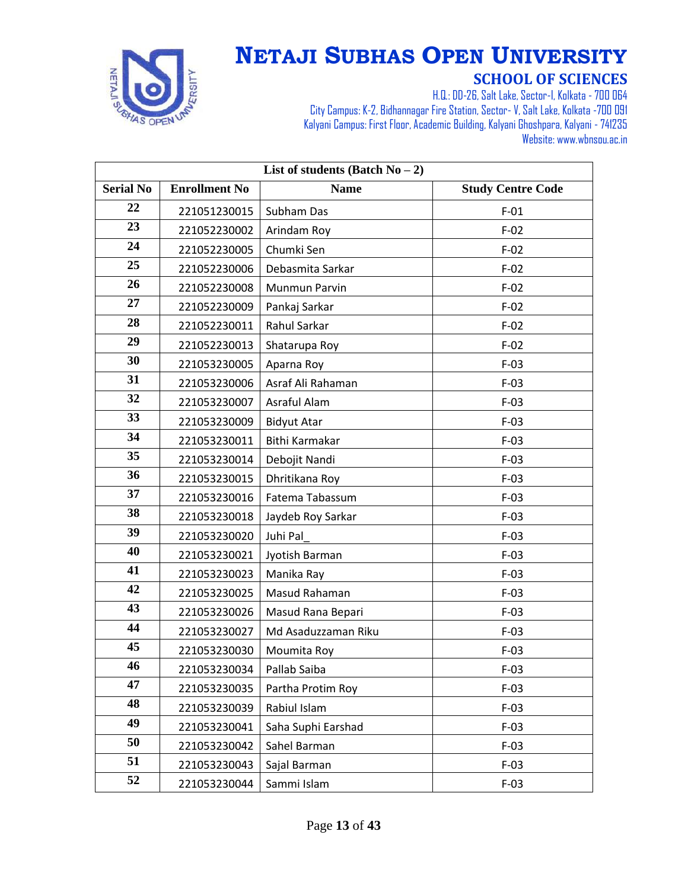

| List of students (Batch $No-2$ ) |                      |                     |                          |
|----------------------------------|----------------------|---------------------|--------------------------|
| <b>Serial No</b>                 | <b>Enrollment No</b> | <b>Name</b>         | <b>Study Centre Code</b> |
| 22                               | 221051230015         | Subham Das          | $F-01$                   |
| 23                               | 221052230002         | Arindam Roy         | $F-02$                   |
| 24                               | 221052230005         | Chumki Sen          | $F-02$                   |
| 25                               | 221052230006         | Debasmita Sarkar    | $F-02$                   |
| 26                               | 221052230008         | Munmun Parvin       | $F-02$                   |
| 27                               | 221052230009         | Pankaj Sarkar       | $F-02$                   |
| 28                               | 221052230011         | Rahul Sarkar        | $F-02$                   |
| 29                               | 221052230013         | Shatarupa Roy       | $F-02$                   |
| 30                               | 221053230005         | Aparna Roy          | $F-03$                   |
| 31                               | 221053230006         | Asraf Ali Rahaman   | $F-03$                   |
| 32                               | 221053230007         | Asraful Alam        | $F-03$                   |
| 33                               | 221053230009         | <b>Bidyut Atar</b>  | $F-03$                   |
| 34                               | 221053230011         | Bithi Karmakar      | $F-03$                   |
| 35                               | 221053230014         | Debojit Nandi       | $F-03$                   |
| 36                               | 221053230015         | Dhritikana Roy      | $F-03$                   |
| 37                               | 221053230016         | Fatema Tabassum     | $F-03$                   |
| 38                               | 221053230018         | Jaydeb Roy Sarkar   | $F-03$                   |
| 39                               | 221053230020         | Juhi Pal            | $F-03$                   |
| 40                               | 221053230021         | Jyotish Barman      | $F-03$                   |
| 41                               | 221053230023         | Manika Ray          | $F-03$                   |
| 42                               | 221053230025         | Masud Rahaman       | $F-03$                   |
| 43                               | 221053230026         | Masud Rana Bepari   | $F-03$                   |
| 44                               | 221053230027         | Md Asaduzzaman Riku | $F-03$                   |
| 45                               | 221053230030         | Moumita Roy         | $F-03$                   |
| 46                               | 221053230034         | Pallab Saiba        | $F-03$                   |
| 47                               | 221053230035         | Partha Protim Roy   | $F-03$                   |
| 48                               | 221053230039         | Rabiul Islam        | $F-03$                   |
| 49                               | 221053230041         | Saha Suphi Earshad  | $F-03$                   |
| 50                               | 221053230042         | Sahel Barman        | $F-03$                   |
| 51                               | 221053230043         | Sajal Barman        | $F-03$                   |
| 52                               | 221053230044         | Sammi Islam         | $F-03$                   |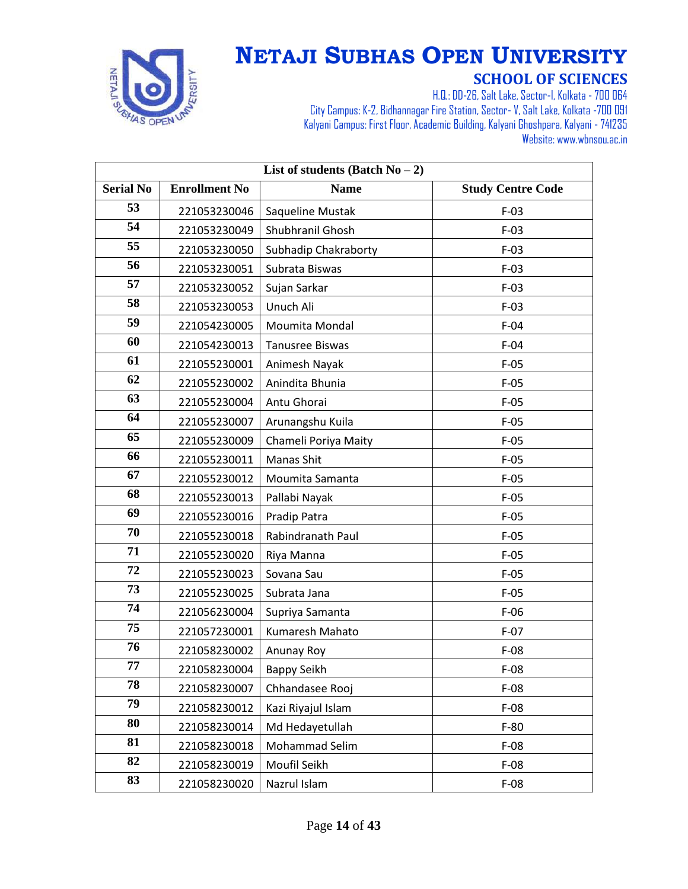

| List of students (Batch $No-2$ ) |                      |                        |                          |
|----------------------------------|----------------------|------------------------|--------------------------|
| <b>Serial No</b>                 | <b>Enrollment No</b> | <b>Name</b>            | <b>Study Centre Code</b> |
| 53                               | 221053230046         | Saqueline Mustak       | $F-03$                   |
| 54                               | 221053230049         | Shubhranil Ghosh       | $F-03$                   |
| 55                               | 221053230050         | Subhadip Chakraborty   | $F-03$                   |
| 56                               | 221053230051         | Subrata Biswas         | $F-03$                   |
| 57                               | 221053230052         | Sujan Sarkar           | $F-03$                   |
| 58                               | 221053230053         | Unuch Ali              | $F-03$                   |
| 59                               | 221054230005         | Moumita Mondal         | $F-04$                   |
| 60                               | 221054230013         | <b>Tanusree Biswas</b> | $F-04$                   |
| 61                               | 221055230001         | Animesh Nayak          | $F-05$                   |
| 62                               | 221055230002         | Anindita Bhunia        | $F-05$                   |
| 63                               | 221055230004         | Antu Ghorai            | $F-05$                   |
| 64                               | 221055230007         | Arunangshu Kuila       | $F-05$                   |
| 65                               | 221055230009         | Chameli Poriya Maity   | $F-05$                   |
| 66                               | 221055230011         | Manas Shit             | $F-05$                   |
| 67                               | 221055230012         | Moumita Samanta        | $F-05$                   |
| 68                               | 221055230013         | Pallabi Nayak          | $F-05$                   |
| 69                               | 221055230016         | Pradip Patra           | $F-05$                   |
| 70                               | 221055230018         | Rabindranath Paul      | $F-05$                   |
| 71                               | 221055230020         | Riya Manna             | $F-05$                   |
| 72                               | 221055230023         | Sovana Sau             | $F-05$                   |
| 73                               | 221055230025         | Subrata Jana           | $F-05$                   |
| 74                               | 221056230004         | Supriya Samanta        | $F-06$                   |
| 75                               | 221057230001         | Kumaresh Mahato        | $F-07$                   |
| 76                               | 221058230002         | Anunay Roy             | $F-08$                   |
| 77                               | 221058230004         | <b>Bappy Seikh</b>     | $F-08$                   |
| 78                               | 221058230007         | Chhandasee Rooj        | $F-08$                   |
| 79                               | 221058230012         | Kazi Riyajul Islam     | $F-08$                   |
| 80                               | 221058230014         | Md Hedayetullah        | $F-80$                   |
| 81                               | 221058230018         | Mohammad Selim         | $F-08$                   |
| 82                               | 221058230019         | Moufil Seikh           | $F-08$                   |
| 83                               | 221058230020         | Nazrul Islam           | $F-08$                   |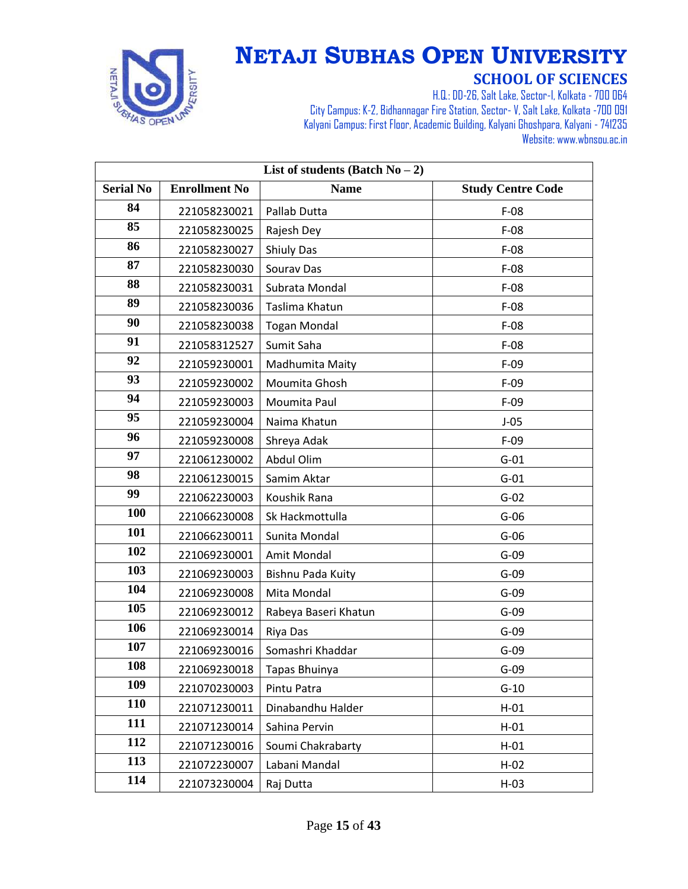

| List of students (Batch $No-2$ ) |                      |                      |                          |
|----------------------------------|----------------------|----------------------|--------------------------|
| <b>Serial No</b>                 | <b>Enrollment No</b> | <b>Name</b>          | <b>Study Centre Code</b> |
| 84                               | 221058230021         | Pallab Dutta         | $F-08$                   |
| 85                               | 221058230025         | Rajesh Dey           | $F-08$                   |
| 86                               | 221058230027         | <b>Shiuly Das</b>    | $F-08$                   |
| 87                               | 221058230030         | Sourav Das           | $F-08$                   |
| 88                               | 221058230031         | Subrata Mondal       | $F-08$                   |
| 89                               | 221058230036         | Taslima Khatun       | $F-08$                   |
| 90                               | 221058230038         | <b>Togan Mondal</b>  | $F-08$                   |
| 91                               | 221058312527         | Sumit Saha           | $F-08$                   |
| 92                               | 221059230001         | Madhumita Maity      | $F-09$                   |
| 93                               | 221059230002         | Moumita Ghosh        | $F-09$                   |
| 94                               | 221059230003         | Moumita Paul         | $F-09$                   |
| 95                               | 221059230004         | Naima Khatun         | $J-05$                   |
| 96                               | 221059230008         | Shreya Adak          | $F-09$                   |
| 97                               | 221061230002         | Abdul Olim           | $G-01$                   |
| 98                               | 221061230015         | Samim Aktar          | $G-01$                   |
| 99                               | 221062230003         | Koushik Rana         | $G-02$                   |
| <b>100</b>                       | 221066230008         | Sk Hackmottulla      | $G-06$                   |
| 101                              | 221066230011         | Sunita Mondal        | $G-06$                   |
| 102                              | 221069230001         | Amit Mondal          | $G-09$                   |
| 103                              | 221069230003         | Bishnu Pada Kuity    | $G-09$                   |
| 104                              | 221069230008         | Mita Mondal          | $G-09$                   |
| 105                              | 221069230012         | Rabeya Baseri Khatun | $G-09$                   |
| 106                              | 221069230014         | Riya Das             | $G-09$                   |
| 107                              | 221069230016         | Somashri Khaddar     | $G-09$                   |
| 108                              | 221069230018         | Tapas Bhuinya        | $G-09$                   |
| 109                              | 221070230003         | Pintu Patra          | $G-10$                   |
| <b>110</b>                       | 221071230011         | Dinabandhu Halder    | $H-01$                   |
| 111                              | 221071230014         | Sahina Pervin        | $H-01$                   |
| 112                              | 221071230016         | Soumi Chakrabarty    | $H-01$                   |
| 113                              | 221072230007         | Labani Mandal        | $H-02$                   |
| 114                              | 221073230004         | Raj Dutta            | $H-03$                   |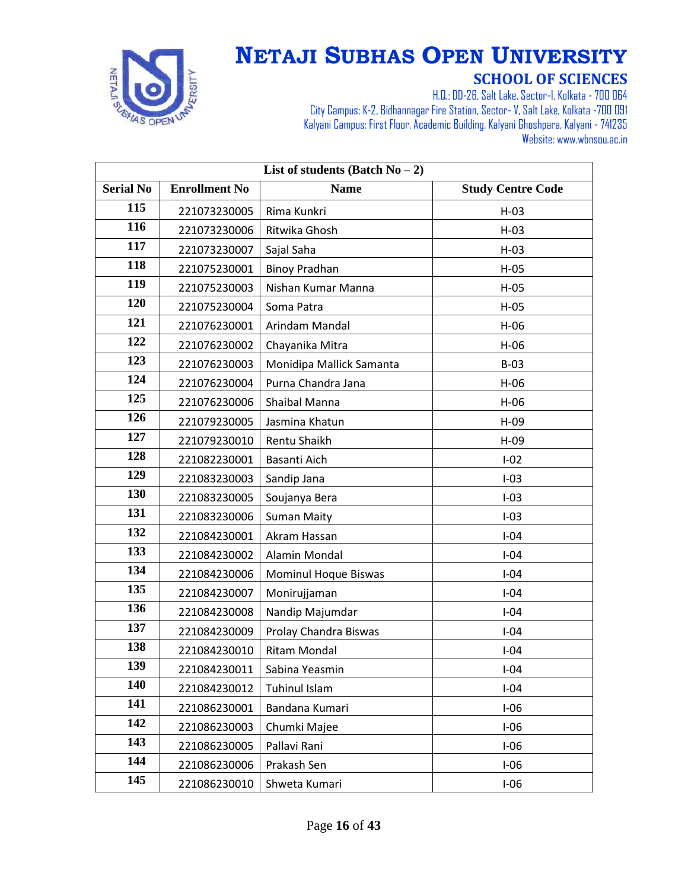

| List of students (Batch $No-2$ ) |                      |                          |                          |
|----------------------------------|----------------------|--------------------------|--------------------------|
| <b>Serial No</b>                 | <b>Enrollment No</b> | <b>Name</b>              | <b>Study Centre Code</b> |
| 115                              | 221073230005         | Rima Kunkri              | $H-03$                   |
| 116                              | 221073230006         | Ritwika Ghosh            | $H-03$                   |
| 117                              | 221073230007         | Sajal Saha               | $H-03$                   |
| 118                              | 221075230001         | <b>Binoy Pradhan</b>     | $H-05$                   |
| 119                              | 221075230003         | Nishan Kumar Manna       | $H-05$                   |
| 120                              | 221075230004         | Soma Patra               | $H-05$                   |
| 121                              | 221076230001         | Arindam Mandal           | $H-06$                   |
| 122                              | 221076230002         | Chayanika Mitra          | $H-06$                   |
| 123                              | 221076230003         | Monidipa Mallick Samanta | $B-03$                   |
| 124                              | 221076230004         | Purna Chandra Jana       | $H-06$                   |
| 125                              | 221076230006         | Shaibal Manna            | $H-06$                   |
| 126                              | 221079230005         | Jasmina Khatun           | $H-09$                   |
| 127                              | 221079230010         | Rentu Shaikh             | $H-09$                   |
| 128                              | 221082230001         | Basanti Aich             | $I-02$                   |
| 129                              | 221083230003         | Sandip Jana              | $I-03$                   |
| 130                              | 221083230005         | Soujanya Bera            | $I-03$                   |
| 131                              | 221083230006         | <b>Suman Maity</b>       | $I-03$                   |
| 132                              | 221084230001         | Akram Hassan             | $I-04$                   |
| 133                              | 221084230002         | Alamin Mondal            | $I-04$                   |
| 134                              | 221084230006         | Mominul Hoque Biswas     | $I-04$                   |
| 135                              | 221084230007         | Monirujjaman             | $I-04$                   |
| 136                              | 221084230008         | Nandip Majumdar          | $I-04$                   |
| 137                              | 221084230009         | Prolay Chandra Biswas    | $I-04$                   |
| 138                              | 221084230010         | <b>Ritam Mondal</b>      | $I-04$                   |
| 139                              | 221084230011         | Sabina Yeasmin           | $I-04$                   |
| 140                              | 221084230012         | <b>Tuhinul Islam</b>     | $I-04$                   |
| 141                              | 221086230001         | Bandana Kumari           | $I-06$                   |
| 142                              | 221086230003         | Chumki Majee             | $I-06$                   |
| 143                              | 221086230005         | Pallavi Rani             | $I-06$                   |
| 144                              | 221086230006         | Prakash Sen              | $I-06$                   |
| 145                              | 221086230010         | Shweta Kumari            | $I-06$                   |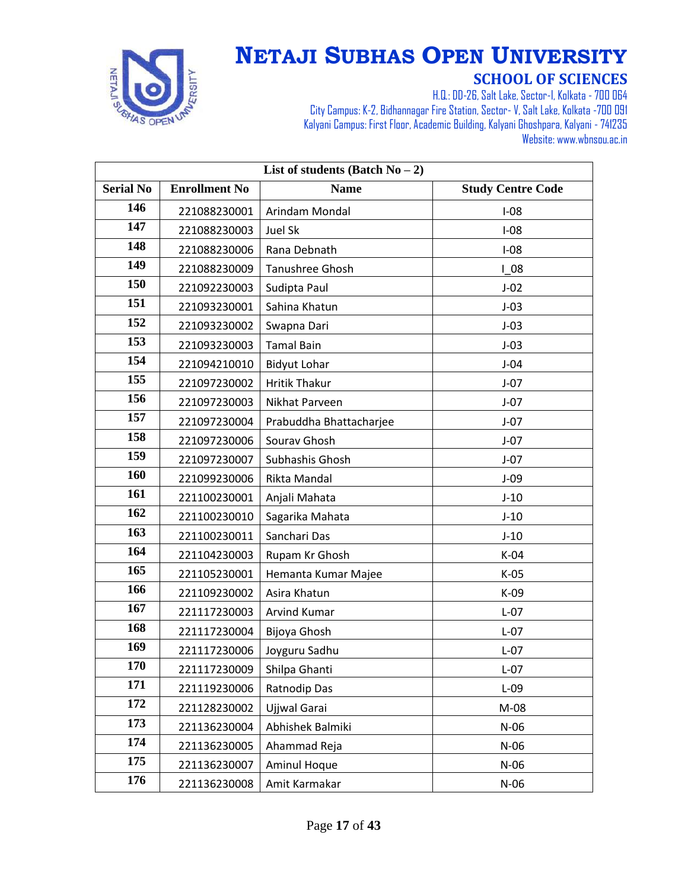

| List of students (Batch $No-2$ ) |                      |                         |                          |
|----------------------------------|----------------------|-------------------------|--------------------------|
| <b>Serial No</b>                 | <b>Enrollment No</b> | <b>Name</b>             | <b>Study Centre Code</b> |
| 146                              | 221088230001         | Arindam Mondal          | $I-08$                   |
| 147                              | 221088230003         | Juel Sk                 | $I-08$                   |
| 148                              | 221088230006         | Rana Debnath            | $I-08$                   |
| 149                              | 221088230009         | Tanushree Ghosh         | 108                      |
| 150                              | 221092230003         | Sudipta Paul            | $J-02$                   |
| 151                              | 221093230001         | Sahina Khatun           | $J-03$                   |
| 152                              | 221093230002         | Swapna Dari             | $J-03$                   |
| 153                              | 221093230003         | <b>Tamal Bain</b>       | $J-03$                   |
| 154                              | 221094210010         | <b>Bidyut Lohar</b>     | $J-04$                   |
| 155                              | 221097230002         | <b>Hritik Thakur</b>    | $J-07$                   |
| 156                              | 221097230003         | Nikhat Parveen          | $J-07$                   |
| 157                              | 221097230004         | Prabuddha Bhattacharjee | $J-07$                   |
| 158                              | 221097230006         | Sourav Ghosh            | $J-07$                   |
| 159                              | 221097230007         | Subhashis Ghosh         | $J-07$                   |
| 160                              | 221099230006         | Rikta Mandal            | $J-09$                   |
| 161                              | 221100230001         | Anjali Mahata           | $J-10$                   |
| 162                              | 221100230010         | Sagarika Mahata         | $J-10$                   |
| 163                              | 221100230011         | Sanchari Das            | $J-10$                   |
| 164                              | 221104230003         | Rupam Kr Ghosh          | $K-04$                   |
| 165                              | 221105230001         | Hemanta Kumar Majee     | $K-05$                   |
| 166                              | 221109230002         | Asira Khatun            | $K-09$                   |
| 167                              | 221117230003         | Arvind Kumar            | $L-07$                   |
| 168                              | 221117230004         | Bijoya Ghosh            | $L-07$                   |
| 169                              | 221117230006         | Joyguru Sadhu           | $L-07$                   |
| 170                              | 221117230009         | Shilpa Ghanti           | $L-07$                   |
| 171                              | 221119230006         | Ratnodip Das            | $L-09$                   |
| 172                              | 221128230002         | Ujjwal Garai            | $M-08$                   |
| 173                              | 221136230004         | Abhishek Balmiki        | $N-06$                   |
| 174                              | 221136230005         | Ahammad Reja            | $N-06$                   |
| 175                              | 221136230007         | Aminul Hoque            | $N-06$                   |
| 176                              | 221136230008         | Amit Karmakar           | $N-06$                   |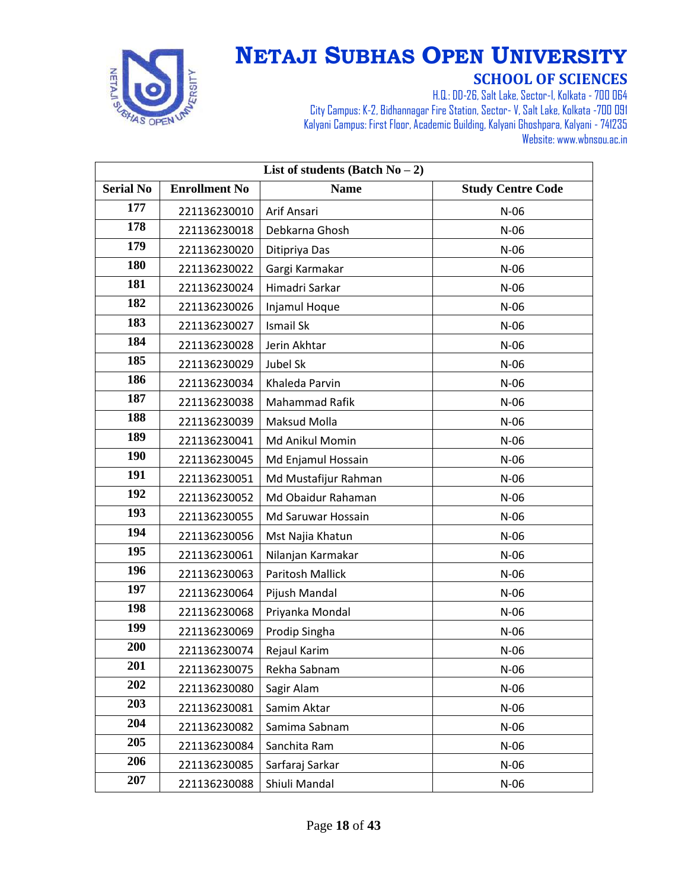

| List of students (Batch $No-2$ ) |                      |                      |                          |
|----------------------------------|----------------------|----------------------|--------------------------|
| <b>Serial No</b>                 | <b>Enrollment No</b> | <b>Name</b>          | <b>Study Centre Code</b> |
| 177                              | 221136230010         | Arif Ansari          | $N-06$                   |
| 178                              | 221136230018         | Debkarna Ghosh       | $N-06$                   |
| 179                              | 221136230020         | Ditipriya Das        | $N-06$                   |
| 180                              | 221136230022         | Gargi Karmakar       | $N-06$                   |
| 181                              | 221136230024         | Himadri Sarkar       | $N-06$                   |
| 182                              | 221136230026         | Injamul Hoque        | $N-06$                   |
| 183                              | 221136230027         | Ismail Sk            | $N-06$                   |
| 184                              | 221136230028         | Jerin Akhtar         | $N-06$                   |
| 185                              | 221136230029         | Jubel Sk             | $N-06$                   |
| 186                              | 221136230034         | Khaleda Parvin       | $N-06$                   |
| 187                              | 221136230038         | Mahammad Rafik       | $N-06$                   |
| 188                              | 221136230039         | Maksud Molla         | $N-06$                   |
| 189                              | 221136230041         | Md Anikul Momin      | $N-06$                   |
| <b>190</b>                       | 221136230045         | Md Enjamul Hossain   | $N-06$                   |
| 191                              | 221136230051         | Md Mustafijur Rahman | $N-06$                   |
| 192                              | 221136230052         | Md Obaidur Rahaman   | $N-06$                   |
| 193                              | 221136230055         | Md Saruwar Hossain   | $N-06$                   |
| 194                              | 221136230056         | Mst Najia Khatun     | $N-06$                   |
| 195                              | 221136230061         | Nilanjan Karmakar    | $N-06$                   |
| 196                              | 221136230063         | Paritosh Mallick     | $N-06$                   |
| 197                              | 221136230064         | Pijush Mandal        | $N-06$                   |
| 198                              | 221136230068         | Priyanka Mondal      | $N-06$                   |
| 199                              | 221136230069         | Prodip Singha        | $N-06$                   |
| 200                              | 221136230074         | Rejaul Karim         | $N-06$                   |
| 201                              | 221136230075         | Rekha Sabnam         | $N-06$                   |
| 202                              | 221136230080         | Sagir Alam           | $N-06$                   |
| 203                              | 221136230081         | Samim Aktar          | $N-06$                   |
| 204                              | 221136230082         | Samima Sabnam        | $N-06$                   |
| 205                              | 221136230084         | Sanchita Ram         | $N-06$                   |
| 206                              | 221136230085         | Sarfaraj Sarkar      | $N-06$                   |
| 207                              | 221136230088         | Shiuli Mandal        | $N-06$                   |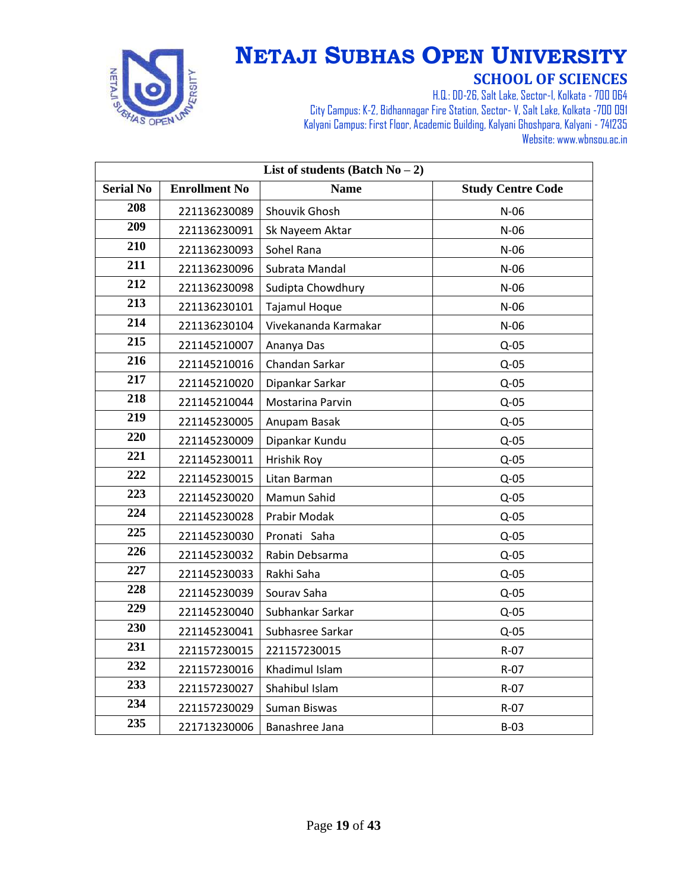

| List of students (Batch $No-2$ ) |                      |                      |                          |
|----------------------------------|----------------------|----------------------|--------------------------|
| <b>Serial No</b>                 | <b>Enrollment No</b> | <b>Name</b>          | <b>Study Centre Code</b> |
| 208                              | 221136230089         | Shouvik Ghosh        | $N-06$                   |
| 209                              | 221136230091         | Sk Nayeem Aktar      | $N-06$                   |
| 210                              | 221136230093         | Sohel Rana           | $N-06$                   |
| 211                              | 221136230096         | Subrata Mandal       | $N-06$                   |
| 212                              | 221136230098         | Sudipta Chowdhury    | $N-06$                   |
| 213                              | 221136230101         | Tajamul Hoque        | $N-06$                   |
| 214                              | 221136230104         | Vivekananda Karmakar | $N-06$                   |
| 215                              | 221145210007         | Ananya Das           | $Q-05$                   |
| 216                              | 221145210016         | Chandan Sarkar       | $Q-05$                   |
| 217                              | 221145210020         | Dipankar Sarkar      | $Q-05$                   |
| 218                              | 221145210044         | Mostarina Parvin     | $Q-05$                   |
| 219                              | 221145230005         | Anupam Basak         | $Q-05$                   |
| 220                              | 221145230009         | Dipankar Kundu       | $Q-05$                   |
| 221                              | 221145230011         | <b>Hrishik Roy</b>   | $Q-05$                   |
| 222                              | 221145230015         | Litan Barman         | $Q-05$                   |
| 223                              | 221145230020         | Mamun Sahid          | $Q-05$                   |
| 224                              | 221145230028         | Prabir Modak         | $Q-05$                   |
| 225                              | 221145230030         | Pronati Saha         | $Q-05$                   |
| 226                              | 221145230032         | Rabin Debsarma       | $Q-05$                   |
| 227                              | 221145230033         | Rakhi Saha           | $Q-05$                   |
| 228                              | 221145230039         | Sourav Saha          | $Q-05$                   |
| 229                              | 221145230040         | Subhankar Sarkar     | $Q-05$                   |
| 230                              | 221145230041         | Subhasree Sarkar     | $Q-05$                   |
| 231                              | 221157230015         | 221157230015         | R-07                     |
| 232                              | 221157230016         | Khadimul Islam       | R-07                     |
| 233                              | 221157230027         | Shahibul Islam       | $R-07$                   |
| 234                              | 221157230029         | Suman Biswas         | $R-07$                   |
| 235                              | 221713230006         | Banashree Jana       | $B-03$                   |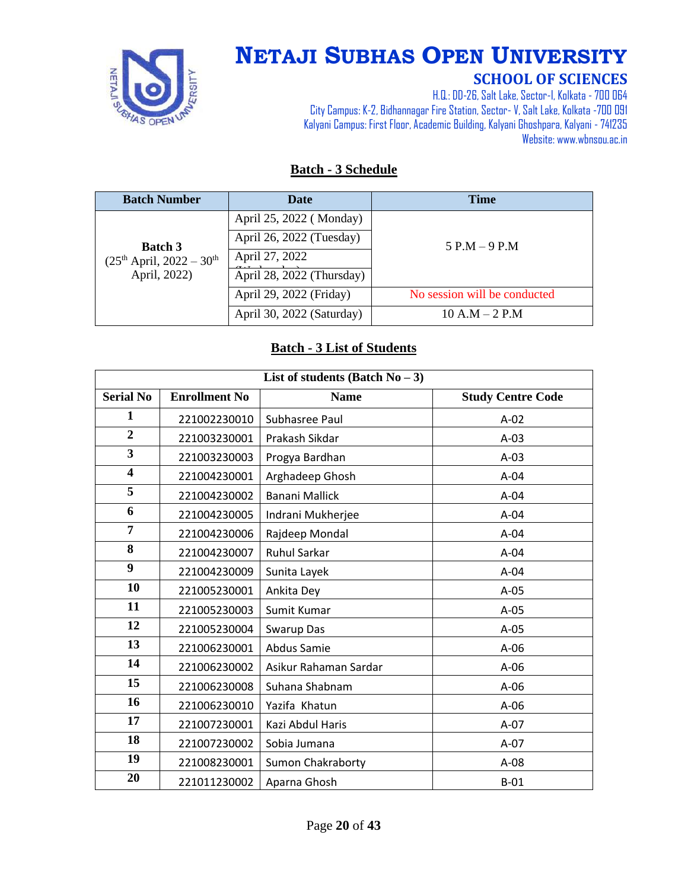

# **NETAJI SUBHAS OPEN UNIVERSITY**

#### **SCHOOL OF SCIENCES**

H.Q.: DD-26, Salt Lake, Sector-I, Kolkata - 700 064 City Campus: K-2, Bidhannagar Fire Station, Sector-V, Salt Lake, Kolkata -700 091 Kalyani Campus: First Floor, Academic Building, Kalyani Ghoshpara, Kalyani - 741235 Website: www.wbnsou.ac.in

#### **Batch - 3 Schedule**

| <b>Batch Number</b>         | <b>Date</b>               | <b>Time</b>                  |
|-----------------------------|---------------------------|------------------------------|
|                             | April 25, 2022 (Monday)   |                              |
| <b>Batch 3</b>              | April 26, 2022 (Tuesday)  | $5 P.M - 9 P.M$              |
| $(25th April, 2022 - 30th)$ | April 27, 2022            |                              |
| April, 2022)                | April 28, 2022 (Thursday) |                              |
|                             | April 29, 2022 (Friday)   | No session will be conducted |
|                             | April 30, 2022 (Saturday) | $10 A.M - 2 P.M$             |

#### **Batch - 3 List of Students**

| List of students (Batch $No-3$ ) |                      |                          |                          |
|----------------------------------|----------------------|--------------------------|--------------------------|
| <b>Serial No</b>                 | <b>Enrollment No</b> | <b>Name</b>              | <b>Study Centre Code</b> |
| $\mathbf{1}$                     | 221002230010         | Subhasree Paul           | $A-02$                   |
| $\overline{2}$                   | 221003230001         | Prakash Sikdar           | $A-03$                   |
| 3                                | 221003230003         | Progya Bardhan           | $A-03$                   |
| 4                                | 221004230001         | Arghadeep Ghosh          | $A-04$                   |
| $\overline{5}$                   | 221004230002         | <b>Banani Mallick</b>    | $A-04$                   |
| 6                                | 221004230005         | Indrani Mukherjee        | $A-04$                   |
| 7                                | 221004230006         | Rajdeep Mondal           | $A-04$                   |
| 8                                | 221004230007         | <b>Ruhul Sarkar</b>      | $A-04$                   |
| 9                                | 221004230009         | Sunita Layek             | $A-04$                   |
| 10                               | 221005230001         | Ankita Dey               | $A-05$                   |
| 11                               | 221005230003         | Sumit Kumar              | $A-05$                   |
| 12                               | 221005230004         | Swarup Das               | $A-05$                   |
| 13                               | 221006230001         | Abdus Samie              | $A-06$                   |
| 14                               | 221006230002         | Asikur Rahaman Sardar    | $A-06$                   |
| 15                               | 221006230008         | Suhana Shabnam           | $A-06$                   |
| 16                               | 221006230010         | Yazifa Khatun            | $A-06$                   |
| 17                               | 221007230001         | Kazi Abdul Haris         | A-07                     |
| 18                               | 221007230002         | Sobia Jumana             | $A-07$                   |
| 19                               | 221008230001         | <b>Sumon Chakraborty</b> | $A-08$                   |
| 20                               | 221011230002         | Aparna Ghosh             | $B-01$                   |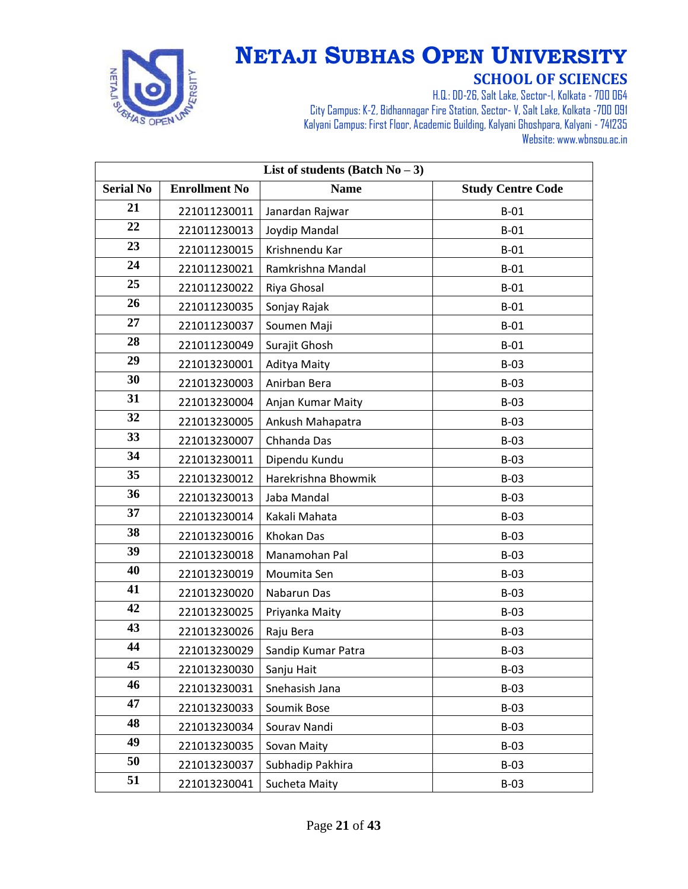

| List of students (Batch $No-3$ ) |                      |                     |                          |
|----------------------------------|----------------------|---------------------|--------------------------|
| <b>Serial No</b>                 | <b>Enrollment No</b> | <b>Name</b>         | <b>Study Centre Code</b> |
| 21                               | 221011230011         | Janardan Rajwar     | $B-01$                   |
| 22                               | 221011230013         | Joydip Mandal       | $B-01$                   |
| 23                               | 221011230015         | Krishnendu Kar      | $B-01$                   |
| 24                               | 221011230021         | Ramkrishna Mandal   | $B-01$                   |
| 25                               | 221011230022         | Riya Ghosal         | $B-01$                   |
| 26                               | 221011230035         | Sonjay Rajak        | $B-01$                   |
| 27                               | 221011230037         | Soumen Maji         | $B-01$                   |
| 28                               | 221011230049         | Surajit Ghosh       | $B-01$                   |
| 29                               | 221013230001         | Aditya Maity        | $B-03$                   |
| 30                               | 221013230003         | Anirban Bera        | $B-03$                   |
| 31                               | 221013230004         | Anjan Kumar Maity   | $B-03$                   |
| 32                               | 221013230005         | Ankush Mahapatra    | $B-03$                   |
| 33                               | 221013230007         | Chhanda Das         | $B-03$                   |
| 34                               | 221013230011         | Dipendu Kundu       | $B-03$                   |
| 35                               | 221013230012         | Harekrishna Bhowmik | $B-03$                   |
| 36                               | 221013230013         | Jaba Mandal         | $B-03$                   |
| 37                               | 221013230014         | Kakali Mahata       | $B-03$                   |
| 38                               | 221013230016         | Khokan Das          | $B-03$                   |
| 39                               | 221013230018         | Manamohan Pal       | $B-03$                   |
| 40                               | 221013230019         | Moumita Sen         | $B-03$                   |
| 41                               | 221013230020         | Nabarun Das         | $B-03$                   |
| 42                               | 221013230025         | Priyanka Maity      | $B-03$                   |
| 43                               | 221013230026         | Raju Bera           | $B-03$                   |
| 44                               | 221013230029         | Sandip Kumar Patra  | $B-03$                   |
| 45                               | 221013230030         | Sanju Hait          | $B-03$                   |
| 46                               | 221013230031         | Snehasish Jana      | $B-03$                   |
| 47                               | 221013230033         | Soumik Bose         | $B-03$                   |
| 48                               | 221013230034         | Sourav Nandi        | $B-03$                   |
| 49                               | 221013230035         | Sovan Maity         | $B-03$                   |
| 50                               | 221013230037         | Subhadip Pakhira    | $B-03$                   |
| 51                               | 221013230041         | Sucheta Maity       | $B-03$                   |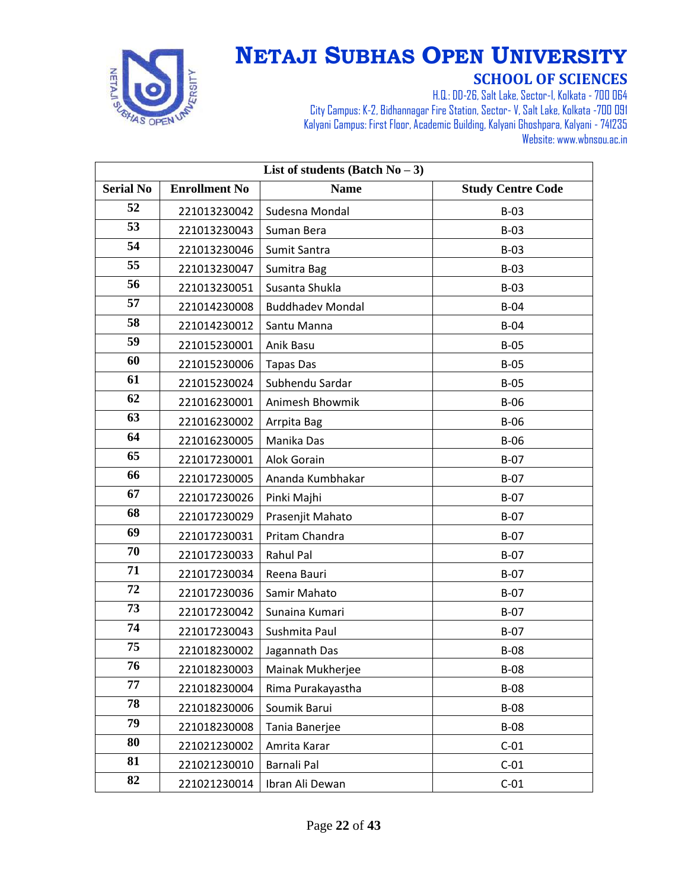

| List of students (Batch $No-3$ ) |                      |                         |                          |
|----------------------------------|----------------------|-------------------------|--------------------------|
| <b>Serial No</b>                 | <b>Enrollment No</b> | <b>Name</b>             | <b>Study Centre Code</b> |
| 52                               | 221013230042         | Sudesna Mondal          | $B-03$                   |
| 53                               | 221013230043         | Suman Bera              | $B-03$                   |
| 54                               | 221013230046         | Sumit Santra            | $B-03$                   |
| 55                               | 221013230047         | Sumitra Bag             | $B-03$                   |
| 56                               | 221013230051         | Susanta Shukla          | $B-03$                   |
| 57                               | 221014230008         | <b>Buddhadev Mondal</b> | $B-04$                   |
| 58                               | 221014230012         | Santu Manna             | $B-04$                   |
| 59                               | 221015230001         | Anik Basu               | $B-05$                   |
| 60                               | 221015230006         | <b>Tapas Das</b>        | $B-05$                   |
| 61                               | 221015230024         | Subhendu Sardar         | $B-05$                   |
| 62                               | 221016230001         | Animesh Bhowmik         | $B-06$                   |
| 63                               | 221016230002         | Arrpita Bag             | $B-06$                   |
| 64                               | 221016230005         | Manika Das              | $B-06$                   |
| 65                               | 221017230001         | Alok Gorain             | $B-07$                   |
| 66                               | 221017230005         | Ananda Kumbhakar        | $B-07$                   |
| 67                               | 221017230026         | Pinki Majhi             | $B-07$                   |
| 68                               | 221017230029         | Prasenjit Mahato        | $B-07$                   |
| 69                               | 221017230031         | Pritam Chandra          | $B-07$                   |
| 70                               | 221017230033         | Rahul Pal               | $B-07$                   |
| 71                               | 221017230034         | Reena Bauri             | $B-07$                   |
| 72                               | 221017230036         | Samir Mahato            | $B-07$                   |
| 73                               | 221017230042         | Sunaina Kumari          | $B-07$                   |
| 74                               | 221017230043         | Sushmita Paul           | $B-07$                   |
| 75                               | 221018230002         | Jagannath Das           | <b>B-08</b>              |
| 76                               | 221018230003         | Mainak Mukherjee        | $B-08$                   |
| 77                               | 221018230004         | Rima Purakayastha       | $B-08$                   |
| 78                               | 221018230006         | Soumik Barui            | <b>B-08</b>              |
| 79                               | 221018230008         | Tania Banerjee          | <b>B-08</b>              |
| 80                               | 221021230002         | Amrita Karar            | $C-01$                   |
| 81                               | 221021230010         | Barnali Pal             | $C-01$                   |
| 82                               | 221021230014         | Ibran Ali Dewan         | $C-01$                   |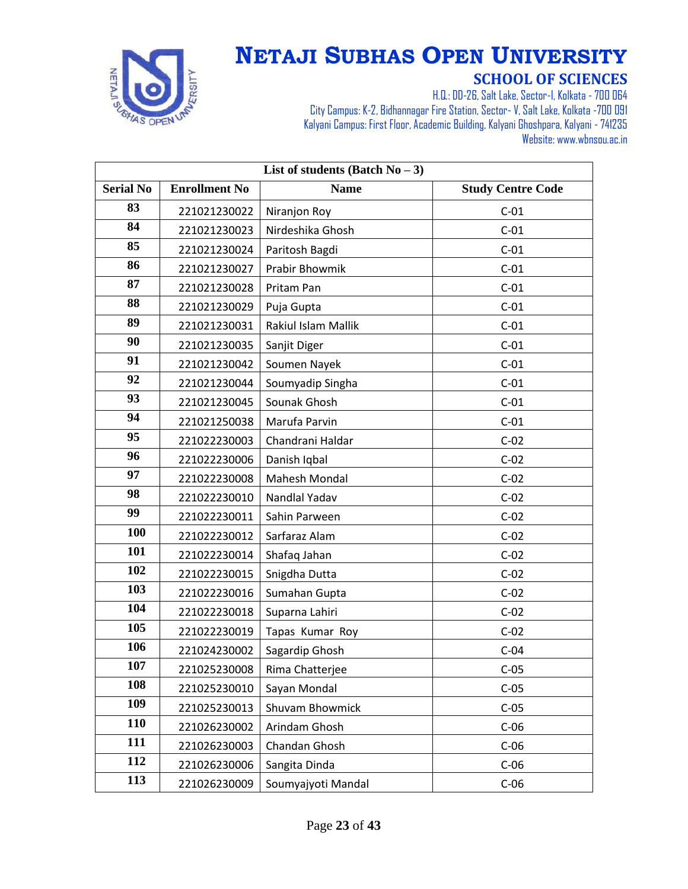

| List of students (Batch $No-3$ ) |                      |                            |                          |
|----------------------------------|----------------------|----------------------------|--------------------------|
| <b>Serial No</b>                 | <b>Enrollment No</b> | <b>Name</b>                | <b>Study Centre Code</b> |
| 83                               | 221021230022         | Niranjon Roy               | $C-01$                   |
| 84                               | 221021230023         | Nirdeshika Ghosh           | $C-01$                   |
| 85                               | 221021230024         | Paritosh Bagdi             | $C-01$                   |
| 86                               | 221021230027         | Prabir Bhowmik             | $C-01$                   |
| 87                               | 221021230028         | Pritam Pan                 | $C-01$                   |
| 88                               | 221021230029         | Puja Gupta                 | $C-01$                   |
| 89                               | 221021230031         | <b>Rakiul Islam Mallik</b> | $C-01$                   |
| 90                               | 221021230035         | Sanjit Diger               | $C-01$                   |
| 91                               | 221021230042         | Soumen Nayek               | $C-01$                   |
| 92                               | 221021230044         | Soumyadip Singha           | $C-01$                   |
| 93                               | 221021230045         | Sounak Ghosh               | $C-01$                   |
| 94                               | 221021250038         | Marufa Parvin              | $C-01$                   |
| 95                               | 221022230003         | Chandrani Haldar           | $C-02$                   |
| 96                               | 221022230006         | Danish Iqbal               | $C-02$                   |
| 97                               | 221022230008         | <b>Mahesh Mondal</b>       | $C-02$                   |
| 98                               | 221022230010         | Nandlal Yadav              | $C-02$                   |
| 99                               | 221022230011         | Sahin Parween              | $C-02$                   |
| 100                              | 221022230012         | Sarfaraz Alam              | $C-02$                   |
| 101                              | 221022230014         | Shafaq Jahan               | $C-02$                   |
| 102                              | 221022230015         | Snigdha Dutta              | $C-02$                   |
| 103                              | 221022230016         | Sumahan Gupta              | $C-02$                   |
| 104                              | 221022230018         | Suparna Lahiri             | $C-02$                   |
| 105                              | 221022230019         | Tapas Kumar Roy            | $C-02$                   |
| 106                              | 221024230002         | Sagardip Ghosh             | $C-04$                   |
| 107                              | 221025230008         | Rima Chatterjee            | $C-05$                   |
| 108                              | 221025230010         | Sayan Mondal               | $C-05$                   |
| 109                              | 221025230013         | Shuvam Bhowmick            | $C-05$                   |
| 110                              | 221026230002         | Arindam Ghosh              | $C-06$                   |
| 111                              | 221026230003         | Chandan Ghosh              | $C-06$                   |
| 112                              | 221026230006         | Sangita Dinda              | $C-06$                   |
| 113                              | 221026230009         | Soumyajyoti Mandal         | $C-06$                   |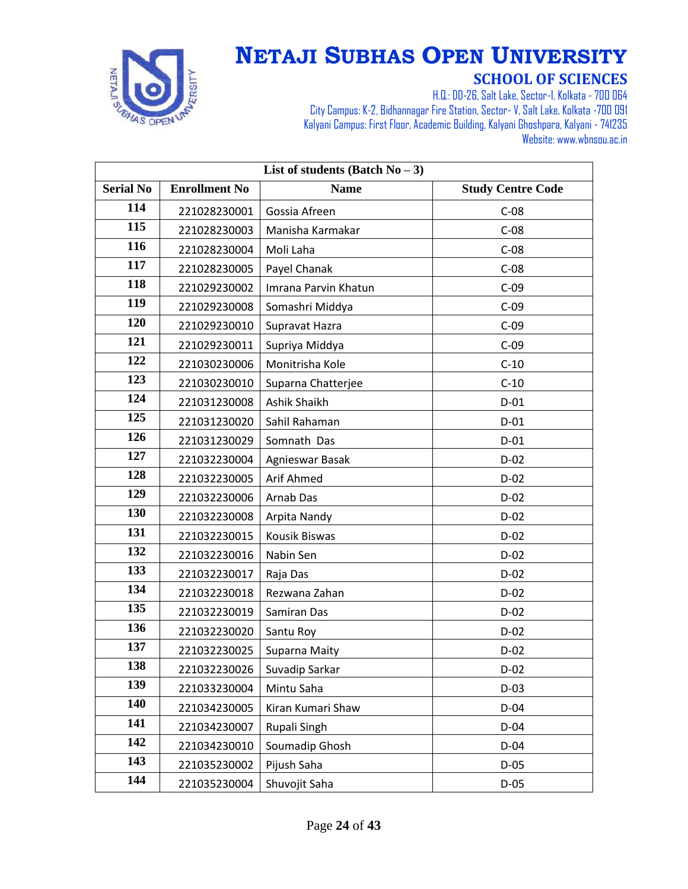

| List of students (Batch $No-3$ ) |                      |                      |                          |
|----------------------------------|----------------------|----------------------|--------------------------|
| <b>Serial No</b>                 | <b>Enrollment No</b> | <b>Name</b>          | <b>Study Centre Code</b> |
| 114                              | 221028230001         | Gossia Afreen        | $C-08$                   |
| 115                              | 221028230003         | Manisha Karmakar     | $C-08$                   |
| 116                              | 221028230004         | Moli Laha            | $C-08$                   |
| 117                              | 221028230005         | Payel Chanak         | $C-08$                   |
| 118                              | 221029230002         | Imrana Parvin Khatun | $C-09$                   |
| 119                              | 221029230008         | Somashri Middya      | $C-09$                   |
| 120                              | 221029230010         | Supravat Hazra       | $C-09$                   |
| 121                              | 221029230011         | Supriya Middya       | $C-09$                   |
| 122                              | 221030230006         | Monitrisha Kole      | $C-10$                   |
| 123                              | 221030230010         | Suparna Chatterjee   | $C-10$                   |
| 124                              | 221031230008         | Ashik Shaikh         | $D-01$                   |
| 125                              | 221031230020         | Sahil Rahaman        | $D-01$                   |
| 126                              | 221031230029         | Somnath Das          | $D-01$                   |
| 127                              | 221032230004         | Agnieswar Basak      | $D-02$                   |
| 128                              | 221032230005         | Arif Ahmed           | $D-02$                   |
| 129                              | 221032230006         | Arnab Das            | $D-02$                   |
| 130                              | 221032230008         | Arpita Nandy         | $D-02$                   |
| 131                              | 221032230015         | Kousik Biswas        | $D-02$                   |
| 132                              | 221032230016         | Nabin Sen            | $D-02$                   |
| 133                              | 221032230017         | Raja Das             | $D-02$                   |
| 134                              | 221032230018         | Rezwana Zahan        | $D-02$                   |
| 135                              | 221032230019         | Samiran Das          | $D-02$                   |
| 136                              | 221032230020         | Santu Roy            | $D-02$                   |
| 137                              | 221032230025         | Suparna Maity        | $D-02$                   |
| 138                              | 221032230026         | Suvadip Sarkar       | $D-02$                   |
| 139                              | 221033230004         | Mintu Saha           | $D-03$                   |
| 140                              | 221034230005         | Kiran Kumari Shaw    | $D-04$                   |
| 141                              | 221034230007         | Rupali Singh         | $D-04$                   |
| 142                              | 221034230010         | Soumadip Ghosh       | $D-04$                   |
| 143                              | 221035230002         | Pijush Saha          | $D-05$                   |
| 144                              | 221035230004         | Shuvojit Saha        | $D-05$                   |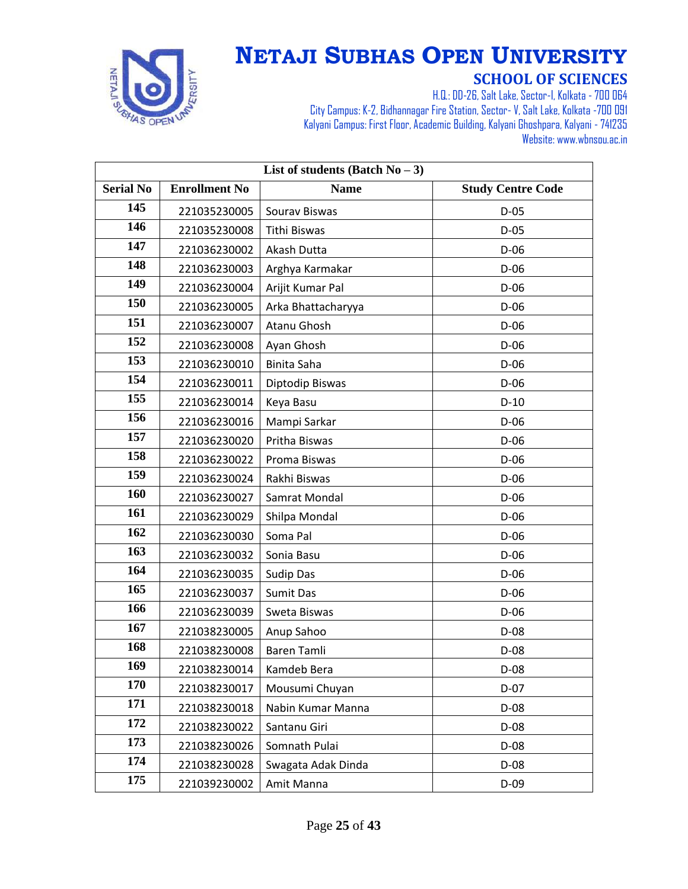

| List of students (Batch $No-3$ ) |                      |                    |                          |
|----------------------------------|----------------------|--------------------|--------------------------|
| <b>Serial No</b>                 | <b>Enrollment No</b> | <b>Name</b>        | <b>Study Centre Code</b> |
| 145                              | 221035230005         | Sourav Biswas      | $D-05$                   |
| 146                              | 221035230008         | Tithi Biswas       | $D-05$                   |
| 147                              | 221036230002         | Akash Dutta        | $D-06$                   |
| 148                              | 221036230003         | Arghya Karmakar    | $D-06$                   |
| 149                              | 221036230004         | Arijit Kumar Pal   | $D-06$                   |
| 150                              | 221036230005         | Arka Bhattacharyya | $D-06$                   |
| 151                              | 221036230007         | Atanu Ghosh        | $D-06$                   |
| 152                              | 221036230008         | Ayan Ghosh         | $D-06$                   |
| 153                              | 221036230010         | <b>Binita Saha</b> | $D-06$                   |
| 154                              | 221036230011         | Diptodip Biswas    | $D-06$                   |
| 155                              | 221036230014         | Keya Basu          | $D-10$                   |
| 156                              | 221036230016         | Mampi Sarkar       | $D-06$                   |
| 157                              | 221036230020         | Pritha Biswas      | $D-06$                   |
| 158                              | 221036230022         | Proma Biswas       | $D-06$                   |
| 159                              | 221036230024         | Rakhi Biswas       | $D-06$                   |
| 160                              | 221036230027         | Samrat Mondal      | $D-06$                   |
| 161                              | 221036230029         | Shilpa Mondal      | $D-06$                   |
| 162                              | 221036230030         | Soma Pal           | $D-06$                   |
| 163                              | 221036230032         | Sonia Basu         | $D-06$                   |
| 164                              | 221036230035         | Sudip Das          | $D-06$                   |
| 165                              | 221036230037         | <b>Sumit Das</b>   | $D-06$                   |
| 166                              | 221036230039         | Sweta Biswas       | $D-06$                   |
| 167                              | 221038230005         | Anup Sahoo         | $D-08$                   |
| 168                              | 221038230008         | <b>Baren Tamli</b> | $D-08$                   |
| 169                              | 221038230014         | Kamdeb Bera        | D-08                     |
| 170                              | 221038230017         | Mousumi Chuyan     | $D-07$                   |
| 171                              | 221038230018         | Nabin Kumar Manna  | $D-08$                   |
| 172                              | 221038230022         | Santanu Giri       | $D-08$                   |
| 173                              | 221038230026         | Somnath Pulai      | $D-08$                   |
| 174                              | 221038230028         | Swagata Adak Dinda | $D-08$                   |
| 175                              | 221039230002         | Amit Manna         | $D-09$                   |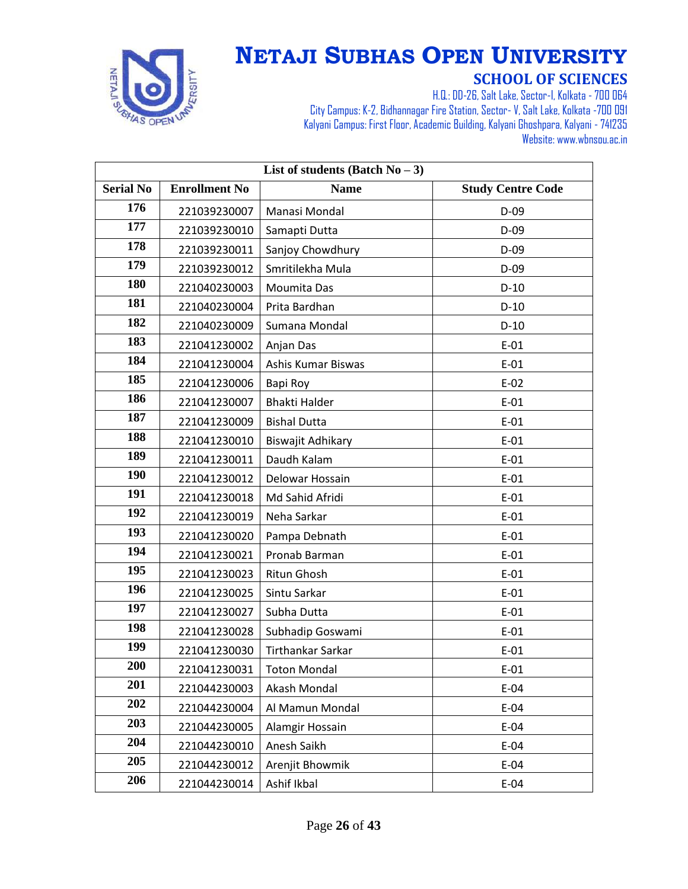

| List of students (Batch $No-3$ ) |                      |                      |                          |
|----------------------------------|----------------------|----------------------|--------------------------|
| <b>Serial No</b>                 | <b>Enrollment No</b> | <b>Name</b>          | <b>Study Centre Code</b> |
| 176                              | 221039230007         | Manasi Mondal        | $D-09$                   |
| 177                              | 221039230010         | Samapti Dutta        | $D-09$                   |
| 178                              | 221039230011         | Sanjoy Chowdhury     | $D-09$                   |
| 179                              | 221039230012         | Smritilekha Mula     | $D-09$                   |
| 180                              | 221040230003         | Moumita Das          | $D-10$                   |
| 181                              | 221040230004         | Prita Bardhan        | $D-10$                   |
| 182                              | 221040230009         | Sumana Mondal        | $D-10$                   |
| 183                              | 221041230002         | Anjan Das            | $E-01$                   |
| 184                              | 221041230004         | Ashis Kumar Biswas   | $E-01$                   |
| 185                              | 221041230006         | Bapi Roy             | $E-02$                   |
| 186                              | 221041230007         | <b>Bhakti Halder</b> | $E-01$                   |
| 187                              | 221041230009         | <b>Bishal Dutta</b>  | $E-01$                   |
| 188                              | 221041230010         | Biswajit Adhikary    | $E-01$                   |
| 189                              | 221041230011         | Daudh Kalam          | $E-01$                   |
| 190                              | 221041230012         | Delowar Hossain      | $E-01$                   |
| 191                              | 221041230018         | Md Sahid Afridi      | $E-01$                   |
| 192                              | 221041230019         | Neha Sarkar          | $E-01$                   |
| 193                              | 221041230020         | Pampa Debnath        | $E-01$                   |
| 194                              | 221041230021         | Pronab Barman        | $E-01$                   |
| 195                              | 221041230023         | Ritun Ghosh          | $E-01$                   |
| 196                              | 221041230025         | Sintu Sarkar         | $E-01$                   |
| 197                              | 221041230027         | Subha Dutta          | $E-01$                   |
| 198                              | 221041230028         | Subhadip Goswami     | $E-01$                   |
| 199                              | 221041230030         | Tirthankar Sarkar    | $E-01$                   |
| 200                              | 221041230031         | <b>Toton Mondal</b>  | $E-01$                   |
| 201                              | 221044230003         | Akash Mondal         | $E-04$                   |
| 202                              | 221044230004         | Al Mamun Mondal      | $E-04$                   |
| 203                              | 221044230005         | Alamgir Hossain      | $E-04$                   |
| 204                              | 221044230010         | Anesh Saikh          | $E-04$                   |
| 205                              | 221044230012         | Arenjit Bhowmik      | $E-04$                   |
| 206                              | 221044230014         | Ashif Ikbal          | $E-04$                   |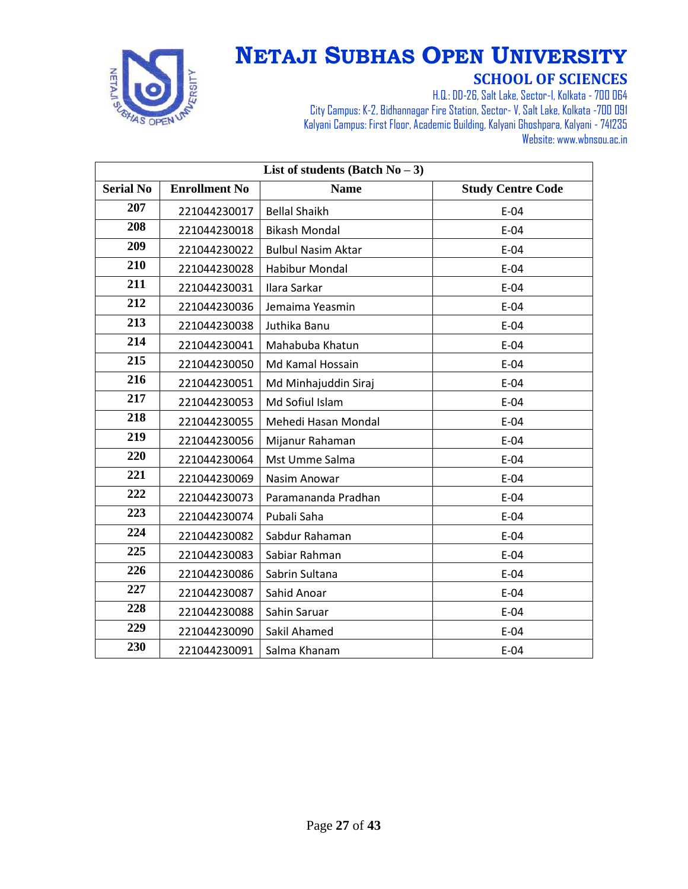

| List of students (Batch $No-3$ ) |                      |                           |                          |
|----------------------------------|----------------------|---------------------------|--------------------------|
| <b>Serial No</b>                 | <b>Enrollment No</b> | <b>Name</b>               | <b>Study Centre Code</b> |
| 207                              | 221044230017         | <b>Bellal Shaikh</b>      | $E-04$                   |
| 208                              | 221044230018         | <b>Bikash Mondal</b>      | $E-04$                   |
| 209                              | 221044230022         | <b>Bulbul Nasim Aktar</b> | $E-04$                   |
| 210                              | 221044230028         | <b>Habibur Mondal</b>     | $E-04$                   |
| 211                              | 221044230031         | Ilara Sarkar              | $E-04$                   |
| 212                              | 221044230036         | Jemaima Yeasmin           | $E-04$                   |
| 213                              | 221044230038         | Juthika Banu              | $E-04$                   |
| 214                              | 221044230041         | Mahabuba Khatun           | $E-04$                   |
| 215                              | 221044230050         | Md Kamal Hossain          | $E-04$                   |
| 216                              | 221044230051         | Md Minhajuddin Siraj      | $E-04$                   |
| 217                              | 221044230053         | Md Sofiul Islam           | $E-04$                   |
| 218                              | 221044230055         | Mehedi Hasan Mondal       | $E-04$                   |
| 219                              | 221044230056         | Mijanur Rahaman           | $E-04$                   |
| 220                              | 221044230064         | Mst Umme Salma            | $E-04$                   |
| 221                              | 221044230069         | Nasim Anowar              | $E-04$                   |
| 222                              | 221044230073         | Paramananda Pradhan       | $E-04$                   |
| 223                              | 221044230074         | Pubali Saha               | $E-04$                   |
| 224                              | 221044230082         | Sabdur Rahaman            | $E-04$                   |
| 225                              | 221044230083         | Sabiar Rahman             | $E-04$                   |
| 226                              | 221044230086         | Sabrin Sultana            | $E-04$                   |
| 227                              | 221044230087         | Sahid Anoar               | $E-04$                   |
| 228                              | 221044230088         | Sahin Saruar              | $E-04$                   |
| 229                              | 221044230090         | Sakil Ahamed              | $E-04$                   |
| 230                              | 221044230091         | Salma Khanam              | $E-04$                   |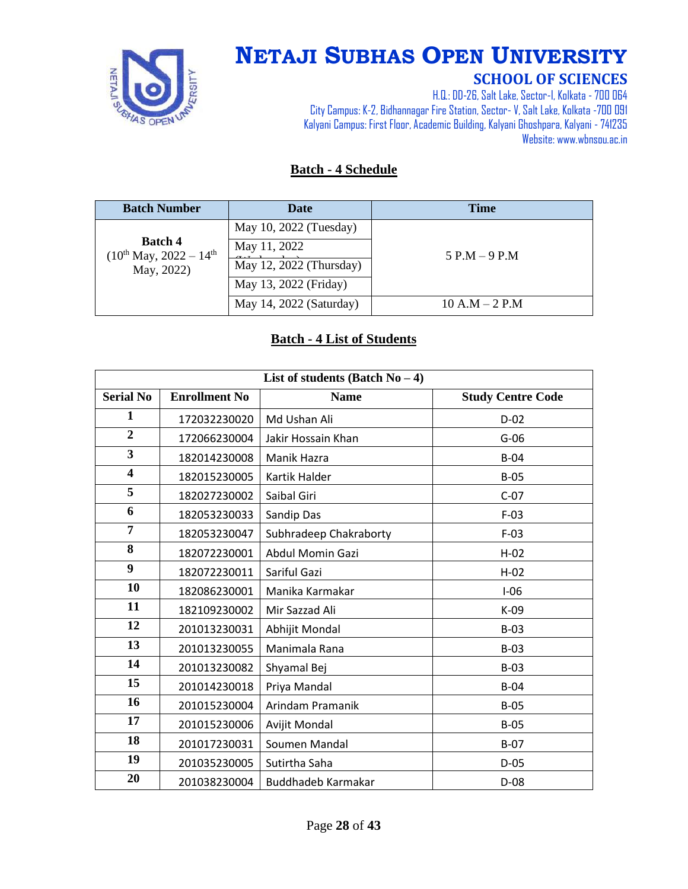

# **NETAJI SUBHAS OPEN UNIVERSITY**

#### **SCHOOL OF SCIENCES**

H.Q.: DD-26, Salt Lake, Sector-I, Kolkata - 700 064 City Campus: K-2, Bidhannagar Fire Station, Sector-V, Salt Lake, Kolkata -700 091 Kalyani Campus: First Floor, Academic Building, Kalyani Ghoshpara, Kalyani - 741235 Website: www.wbnsou.ac.in

#### **Batch - 4 Schedule**

| <b>Batch Number</b>                                | <b>Date</b>             | <b>Time</b>      |
|----------------------------------------------------|-------------------------|------------------|
|                                                    | May 10, 2022 (Tuesday)  |                  |
| <b>Batch 4</b><br>$(10^{th}$ May, $2022 - 14^{th}$ | May 11, 2022            | $5$ P.M $-9$ P.M |
| May, 2022)                                         | May 12, 2022 (Thursday) |                  |
|                                                    | May 13, 2022 (Friday)   |                  |
|                                                    | May 14, 2022 (Saturday) | $10 A.M - 2 P.M$ |

#### **Batch - 4 List of Students**

| List of students (Batch $No-4$ ) |                      |                         |                          |
|----------------------------------|----------------------|-------------------------|--------------------------|
| <b>Serial No</b>                 | <b>Enrollment No</b> | <b>Name</b>             | <b>Study Centre Code</b> |
| $\mathbf{1}$                     | 172032230020         | Md Ushan Ali            | $D-02$                   |
| $\overline{2}$                   | 172066230004         | Jakir Hossain Khan      | $G-06$                   |
| $\overline{\mathbf{3}}$          | 182014230008         | Manik Hazra             | $B-04$                   |
| $\overline{\mathbf{4}}$          | 182015230005         | Kartik Halder           | $B-05$                   |
| 5                                | 182027230002         | Saibal Giri             | $C-07$                   |
| 6                                | 182053230033         | Sandip Das              | $F-03$                   |
| 7                                | 182053230047         | Subhradeep Chakraborty  | $F-03$                   |
| 8                                | 182072230001         | <b>Abdul Momin Gazi</b> | $H-02$                   |
| $\boldsymbol{9}$                 | 182072230011         | Sariful Gazi            | $H-02$                   |
| 10                               | 182086230001         | Manika Karmakar         | $I-06$                   |
| 11                               | 182109230002         | Mir Sazzad Ali          | $K-09$                   |
| 12                               | 201013230031         | Abhijit Mondal          | $B-03$                   |
| 13                               | 201013230055         | Manimala Rana           | $B-03$                   |
| 14                               | 201013230082         | Shyamal Bej             | $B-03$                   |
| 15                               | 201014230018         | Priya Mandal            | $B-04$                   |
| 16                               | 201015230004         | Arindam Pramanik        | $B-05$                   |
| 17                               | 201015230006         | Avijit Mondal           | $B-05$                   |
| 18                               | 201017230031         | Soumen Mandal           | $B-07$                   |
| 19                               | 201035230005         | Sutirtha Saha           | $D-05$                   |
| 20                               | 201038230004         | Buddhadeb Karmakar      | $D-08$                   |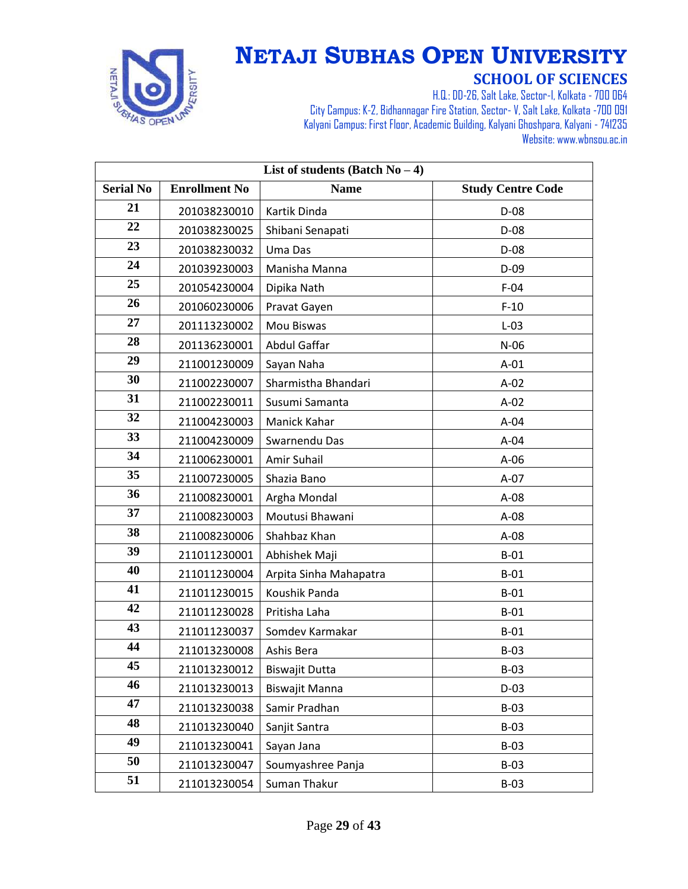

| List of students (Batch $No-4$ ) |                      |                        |                          |
|----------------------------------|----------------------|------------------------|--------------------------|
| <b>Serial No</b>                 | <b>Enrollment No</b> | <b>Name</b>            | <b>Study Centre Code</b> |
| 21                               | 201038230010         | Kartik Dinda           | $D-08$                   |
| 22                               | 201038230025         | Shibani Senapati       | $D-08$                   |
| 23                               | 201038230032         | Uma Das                | $D-08$                   |
| 24                               | 201039230003         | Manisha Manna          | $D-09$                   |
| 25                               | 201054230004         | Dipika Nath            | $F-04$                   |
| 26                               | 201060230006         | Pravat Gayen           | $F-10$                   |
| 27                               | 201113230002         | Mou Biswas             | $L-03$                   |
| 28                               | 201136230001         | Abdul Gaffar           | $N-06$                   |
| 29                               | 211001230009         | Sayan Naha             | $A-01$                   |
| 30                               | 211002230007         | Sharmistha Bhandari    | $A-02$                   |
| 31                               | 211002230011         | Susumi Samanta         | $A-02$                   |
| 32                               | 211004230003         | Manick Kahar           | $A-04$                   |
| 33                               | 211004230009         | Swarnendu Das          | $A-04$                   |
| 34                               | 211006230001         | Amir Suhail            | $A-06$                   |
| 35                               | 211007230005         | Shazia Bano            | $A-07$                   |
| 36                               | 211008230001         | Argha Mondal           | $A-08$                   |
| 37                               | 211008230003         | Moutusi Bhawani        | $A-08$                   |
| 38                               | 211008230006         | Shahbaz Khan           | $A-08$                   |
| 39                               | 211011230001         | Abhishek Maji          | $B-01$                   |
| 40                               | 211011230004         | Arpita Sinha Mahapatra | $B-01$                   |
| 41                               | 211011230015         | Koushik Panda          | $B-01$                   |
| 42                               | 211011230028         | Pritisha Laha          | $B-01$                   |
| 43                               | 211011230037         | Somdev Karmakar        | $B-01$                   |
| 44                               | 211013230008         | Ashis Bera             | $B-03$                   |
| 45                               | 211013230012         | <b>Biswajit Dutta</b>  | $B-03$                   |
| 46                               | 211013230013         | <b>Biswajit Manna</b>  | $D-03$                   |
| 47                               | 211013230038         | Samir Pradhan          | $B-03$                   |
| 48                               | 211013230040         | Sanjit Santra          | $B-03$                   |
| 49                               | 211013230041         | Sayan Jana             | $B-03$                   |
| 50                               | 211013230047         | Soumyashree Panja      | $B-03$                   |
| 51                               | 211013230054         | Suman Thakur           | $B-03$                   |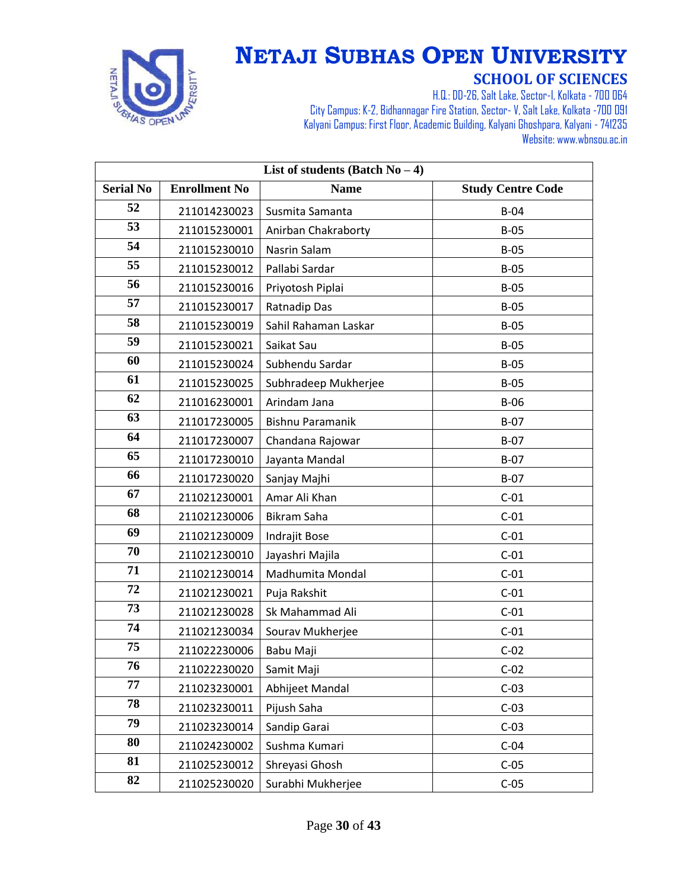

| List of students (Batch $No-4$ ) |                      |                         |                          |
|----------------------------------|----------------------|-------------------------|--------------------------|
| <b>Serial No</b>                 | <b>Enrollment No</b> | <b>Name</b>             | <b>Study Centre Code</b> |
| 52                               | 211014230023         | Susmita Samanta         | $B-04$                   |
| 53                               | 211015230001         | Anirban Chakraborty     | $B-05$                   |
| 54                               | 211015230010         | Nasrin Salam            | $B-05$                   |
| 55                               | 211015230012         | Pallabi Sardar          | $B-05$                   |
| 56                               | 211015230016         | Priyotosh Piplai        | $B-05$                   |
| 57                               | 211015230017         | Ratnadip Das            | $B-05$                   |
| 58                               | 211015230019         | Sahil Rahaman Laskar    | $B-05$                   |
| 59                               | 211015230021         | Saikat Sau              | $B-05$                   |
| 60                               | 211015230024         | Subhendu Sardar         | $B-05$                   |
| 61                               | 211015230025         | Subhradeep Mukherjee    | $B-05$                   |
| 62                               | 211016230001         | Arindam Jana            | $B-06$                   |
| 63                               | 211017230005         | <b>Bishnu Paramanik</b> | $B-07$                   |
| 64                               | 211017230007         | Chandana Rajowar        | $B-07$                   |
| 65                               | 211017230010         | Jayanta Mandal          | $B-07$                   |
| 66                               | 211017230020         | Sanjay Majhi            | $B-07$                   |
| 67                               | 211021230001         | Amar Ali Khan           | $C-01$                   |
| 68                               | 211021230006         | Bikram Saha             | $C-01$                   |
| 69                               | 211021230009         | Indrajit Bose           | $C-01$                   |
| 70                               | 211021230010         | Jayashri Majila         | $C-01$                   |
| 71                               | 211021230014         | Madhumita Mondal        | $C-01$                   |
| 72                               | 211021230021         | Puja Rakshit            | $C-01$                   |
| 73                               | 211021230028         | Sk Mahammad Ali         | $C-01$                   |
| 74                               | 211021230034         | Sourav Mukherjee        | $C-01$                   |
| 75                               | 211022230006         | Babu Maji               | $C-02$                   |
| 76                               | 211022230020         | Samit Maji              | $C-02$                   |
| 77                               | 211023230001         | Abhijeet Mandal         | $C-03$                   |
| 78                               | 211023230011         | Pijush Saha             | $C-03$                   |
| 79                               | 211023230014         | Sandip Garai            | $C-03$                   |
| 80                               | 211024230002         | Sushma Kumari           | $C-04$                   |
| 81                               | 211025230012         | Shreyasi Ghosh          | $C-05$                   |
| 82                               | 211025230020         | Surabhi Mukherjee       | $C-05$                   |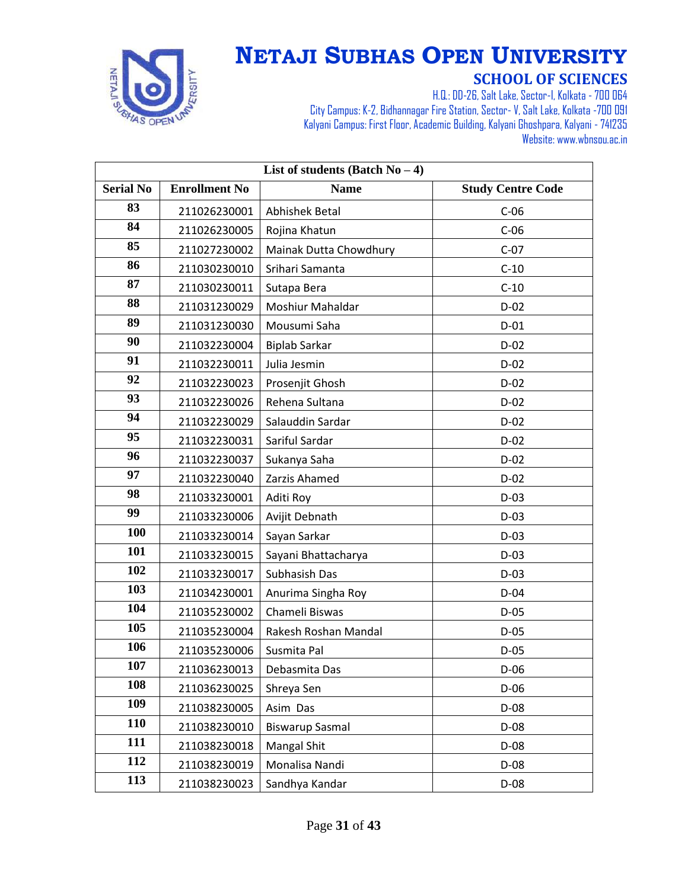

| List of students (Batch $No-4$ ) |                      |                        |                          |
|----------------------------------|----------------------|------------------------|--------------------------|
| <b>Serial No</b>                 | <b>Enrollment No</b> | <b>Name</b>            | <b>Study Centre Code</b> |
| 83                               | 211026230001         | Abhishek Betal         | $C-06$                   |
| 84                               | 211026230005         | Rojina Khatun          | $C-06$                   |
| 85                               | 211027230002         | Mainak Dutta Chowdhury | $C-07$                   |
| 86                               | 211030230010         | Srihari Samanta        | $C-10$                   |
| 87                               | 211030230011         | Sutapa Bera            | $C-10$                   |
| 88                               | 211031230029         | Moshiur Mahaldar       | $D-02$                   |
| 89                               | 211031230030         | Mousumi Saha           | $D-01$                   |
| 90                               | 211032230004         | <b>Biplab Sarkar</b>   | $D-02$                   |
| 91                               | 211032230011         | Julia Jesmin           | $D-02$                   |
| 92                               | 211032230023         | Prosenjit Ghosh        | $D-02$                   |
| 93                               | 211032230026         | Rehena Sultana         | $D-02$                   |
| 94                               | 211032230029         | Salauddin Sardar       | $D-02$                   |
| 95                               | 211032230031         | Sariful Sardar         | $D-02$                   |
| 96                               | 211032230037         | Sukanya Saha           | $D-02$                   |
| 97                               | 211032230040         | Zarzis Ahamed          | $D-02$                   |
| 98                               | 211033230001         | Aditi Roy              | $D-03$                   |
| 99                               | 211033230006         | Avijit Debnath         | $D-03$                   |
| 100                              | 211033230014         | Sayan Sarkar           | $D-03$                   |
| 101                              | 211033230015         | Sayani Bhattacharya    | $D-03$                   |
| 102                              | 211033230017         | Subhasish Das          | $D-03$                   |
| 103                              | 211034230001         | Anurima Singha Roy     | $D-04$                   |
| 104                              | 211035230002         | Chameli Biswas         | $D-05$                   |
| 105                              | 211035230004         | Rakesh Roshan Mandal   | $D-05$                   |
| 106                              | 211035230006         | Susmita Pal            | $D-05$                   |
| 107                              | 211036230013         | Debasmita Das          | $D-06$                   |
| 108                              | 211036230025         | Shreya Sen             | $D-06$                   |
| 109                              | 211038230005         | Asim Das               | $D-08$                   |
| 110                              | 211038230010         | <b>Biswarup Sasmal</b> | $D-08$                   |
| 111                              | 211038230018         | <b>Mangal Shit</b>     | D-08                     |
| 112                              | 211038230019         | Monalisa Nandi         | $D-08$                   |
| 113                              | 211038230023         | Sandhya Kandar         | $D-08$                   |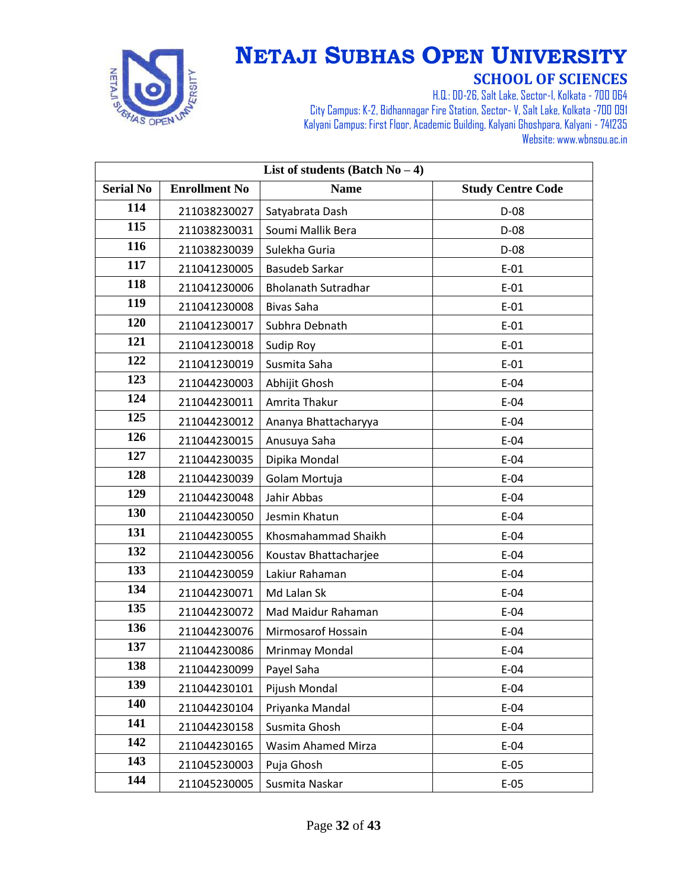

| List of students (Batch $No-4$ ) |                      |                            |                          |
|----------------------------------|----------------------|----------------------------|--------------------------|
| <b>Serial No</b>                 | <b>Enrollment No</b> | <b>Name</b>                | <b>Study Centre Code</b> |
| 114                              | 211038230027         | Satyabrata Dash            | D-08                     |
| 115                              | 211038230031         | Soumi Mallik Bera          | $D-08$                   |
| 116                              | 211038230039         | Sulekha Guria              | $D-08$                   |
| 117                              | 211041230005         | <b>Basudeb Sarkar</b>      | $E-01$                   |
| 118                              | 211041230006         | <b>Bholanath Sutradhar</b> | $E-01$                   |
| 119                              | 211041230008         | Bivas Saha                 | $E-01$                   |
| 120                              | 211041230017         | Subhra Debnath             | $E-01$                   |
| 121                              | 211041230018         | Sudip Roy                  | $E-01$                   |
| 122                              | 211041230019         | Susmita Saha               | $E-01$                   |
| 123                              | 211044230003         | Abhijit Ghosh              | $E-04$                   |
| 124                              | 211044230011         | Amrita Thakur              | $E-04$                   |
| 125                              | 211044230012         | Ananya Bhattacharyya       | $E-04$                   |
| 126                              | 211044230015         | Anusuya Saha               | $E-04$                   |
| 127                              | 211044230035         | Dipika Mondal              | $E-04$                   |
| 128                              | 211044230039         | Golam Mortuja              | $E-04$                   |
| 129                              | 211044230048         | Jahir Abbas                | $E-04$                   |
| 130                              | 211044230050         | Jesmin Khatun              | $E-04$                   |
| 131                              | 211044230055         | Khosmahammad Shaikh        | $E-04$                   |
| 132                              | 211044230056         | Koustav Bhattacharjee      | $E-04$                   |
| 133                              | 211044230059         | Lakiur Rahaman             | $E-04$                   |
| 134                              | 211044230071         | Md Lalan Sk                | $E-04$                   |
| 135                              | 211044230072         | Mad Maidur Rahaman         | $E-04$                   |
| 136                              | 211044230076         | Mirmosarof Hossain         | $E-04$                   |
| 137                              | 211044230086         | <b>Mrinmay Mondal</b>      | $E-04$                   |
| 138                              | 211044230099         | Payel Saha                 | $E-04$                   |
| 139                              | 211044230101         | Pijush Mondal              | $E-04$                   |
| 140                              | 211044230104         | Priyanka Mandal            | $E-04$                   |
| 141                              | 211044230158         | Susmita Ghosh              | $E-04$                   |
| 142                              | 211044230165         | Wasim Ahamed Mirza         | $E-04$                   |
| 143                              | 211045230003         | Puja Ghosh                 | $E-05$                   |
| 144                              | 211045230005         | Susmita Naskar             | $E-05$                   |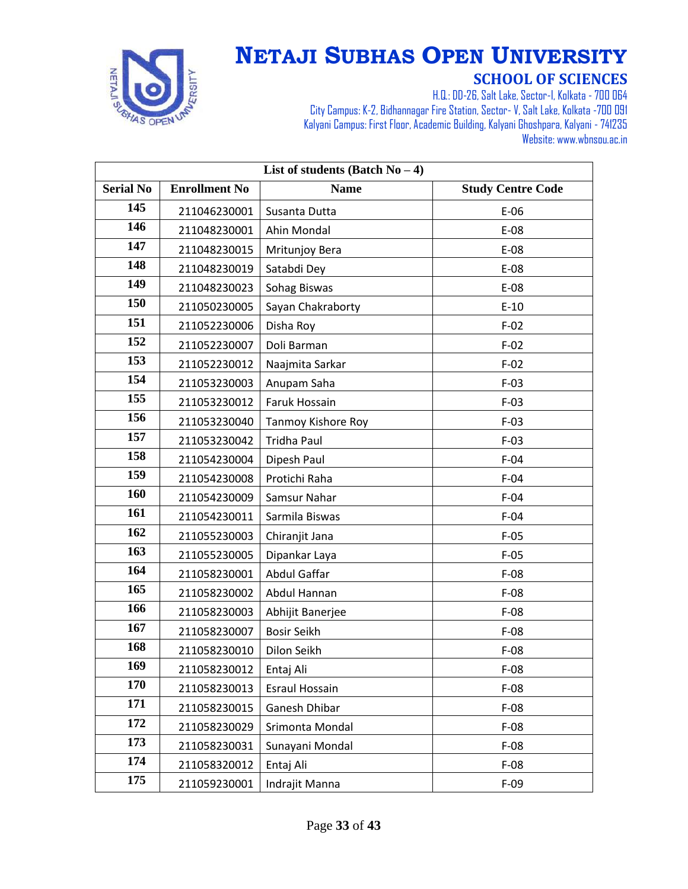

| List of students (Batch $No-4$ ) |                      |                           |                          |
|----------------------------------|----------------------|---------------------------|--------------------------|
| <b>Serial No</b>                 | <b>Enrollment No</b> | <b>Name</b>               | <b>Study Centre Code</b> |
| 145                              | 211046230001         | Susanta Dutta             | $E-06$                   |
| 146                              | 211048230001         | Ahin Mondal               | $E-08$                   |
| 147                              | 211048230015         | Mritunjoy Bera            | E-08                     |
| 148                              | 211048230019         | Satabdi Dey               | E-08                     |
| 149                              | 211048230023         | Sohag Biswas              | E-08                     |
| 150                              | 211050230005         | Sayan Chakraborty         | $E-10$                   |
| 151                              | 211052230006         | Disha Roy                 | $F-02$                   |
| 152                              | 211052230007         | Doli Barman               | $F-02$                   |
| 153                              | 211052230012         | Naajmita Sarkar           | $F-02$                   |
| 154                              | 211053230003         | Anupam Saha               | $F-03$                   |
| 155                              | 211053230012         | Faruk Hossain             | $F-03$                   |
| 156                              | 211053230040         | <b>Tanmoy Kishore Roy</b> | $F-03$                   |
| 157                              | 211053230042         | <b>Tridha Paul</b>        | $F-03$                   |
| 158                              | 211054230004         | Dipesh Paul               | $F-04$                   |
| 159                              | 211054230008         | Protichi Raha             | $F-04$                   |
| 160                              | 211054230009         | Samsur Nahar              | $F-04$                   |
| 161                              | 211054230011         | Sarmila Biswas            | $F-04$                   |
| 162                              | 211055230003         | Chiranjit Jana            | $F-05$                   |
| 163                              | 211055230005         | Dipankar Laya             | $F-05$                   |
| 164                              | 211058230001         | Abdul Gaffar              | $F-08$                   |
| 165                              | 211058230002         | Abdul Hannan              | $F-08$                   |
| 166                              | 211058230003         | Abhijit Banerjee          | $F-08$                   |
| 167                              | 211058230007         | <b>Bosir Seikh</b>        | $F-08$                   |
| 168                              | 211058230010         | Dilon Seikh               | $F-08$                   |
| 169                              | 211058230012         | Entaj Ali                 | $F-08$                   |
| 170                              | 211058230013         | <b>Esraul Hossain</b>     | $F-08$                   |
| 171                              | 211058230015         | Ganesh Dhibar             | $F-08$                   |
| 172                              | 211058230029         | Srimonta Mondal           | $F-08$                   |
| 173                              | 211058230031         | Sunayani Mondal           | $F-08$                   |
| 174                              | 211058320012         | Entaj Ali                 | $F-08$                   |
| 175                              | 211059230001         | Indrajit Manna            | $F-09$                   |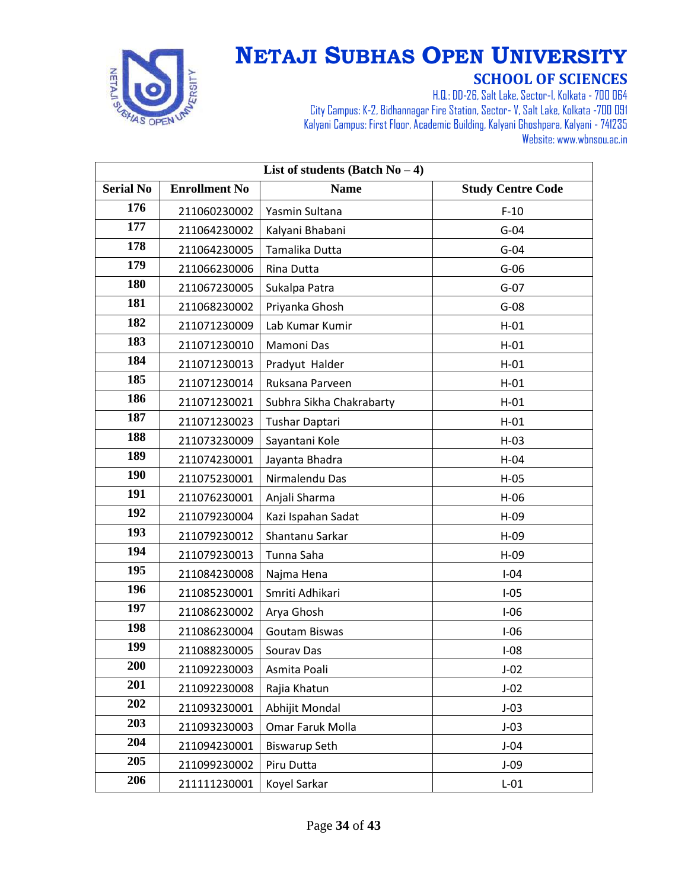

| List of students (Batch $No-4$ ) |                      |                          |                          |
|----------------------------------|----------------------|--------------------------|--------------------------|
| <b>Serial No</b>                 | <b>Enrollment No</b> | <b>Name</b>              | <b>Study Centre Code</b> |
| 176                              | 211060230002         | Yasmin Sultana           | $F-10$                   |
| 177                              | 211064230002         | Kalyani Bhabani          | $G-04$                   |
| 178                              | 211064230005         | Tamalika Dutta           | $G-04$                   |
| 179                              | 211066230006         | Rina Dutta               | $G-06$                   |
| 180                              | 211067230005         | Sukalpa Patra            | $G-07$                   |
| 181                              | 211068230002         | Priyanka Ghosh           | $G-08$                   |
| 182                              | 211071230009         | Lab Kumar Kumir          | $H-01$                   |
| 183                              | 211071230010         | Mamoni Das               | $H-01$                   |
| 184                              | 211071230013         | Pradyut Halder           | $H-01$                   |
| 185                              | 211071230014         | Ruksana Parveen          | $H-01$                   |
| 186                              | 211071230021         | Subhra Sikha Chakrabarty | $H-01$                   |
| 187                              | 211071230023         | Tushar Daptari           | $H-01$                   |
| 188                              | 211073230009         | Sayantani Kole           | $H-03$                   |
| 189                              | 211074230001         | Jayanta Bhadra           | $H-04$                   |
| 190                              | 211075230001         | Nirmalendu Das           | $H-05$                   |
| 191                              | 211076230001         | Anjali Sharma            | $H-06$                   |
| 192                              | 211079230004         | Kazi Ispahan Sadat       | $H-09$                   |
| 193                              | 211079230012         | Shantanu Sarkar          | $H-09$                   |
| 194                              | 211079230013         | Tunna Saha               | $H-09$                   |
| 195                              | 211084230008         | Najma Hena               | $I-04$                   |
| 196                              | 211085230001         | Smriti Adhikari          | $I-05$                   |
| 197                              | 211086230002         | Arya Ghosh               | $I-06$                   |
| 198                              | 211086230004         | <b>Goutam Biswas</b>     | $I-06$                   |
| 199                              | 211088230005         | Sourav Das               | $I-08$                   |
| 200                              | 211092230003         | Asmita Poali             | $J-02$                   |
| 201                              | 211092230008         | Rajia Khatun             | $J-02$                   |
| 202                              | 211093230001         | Abhijit Mondal           | $J-03$                   |
| 203                              | 211093230003         | Omar Faruk Molla         | $J-03$                   |
| 204                              | 211094230001         | <b>Biswarup Seth</b>     | $J-04$                   |
| 205                              | 211099230002         | Piru Dutta               | $J-09$                   |
| 206                              | 211111230001         | Koyel Sarkar             | $L-01$                   |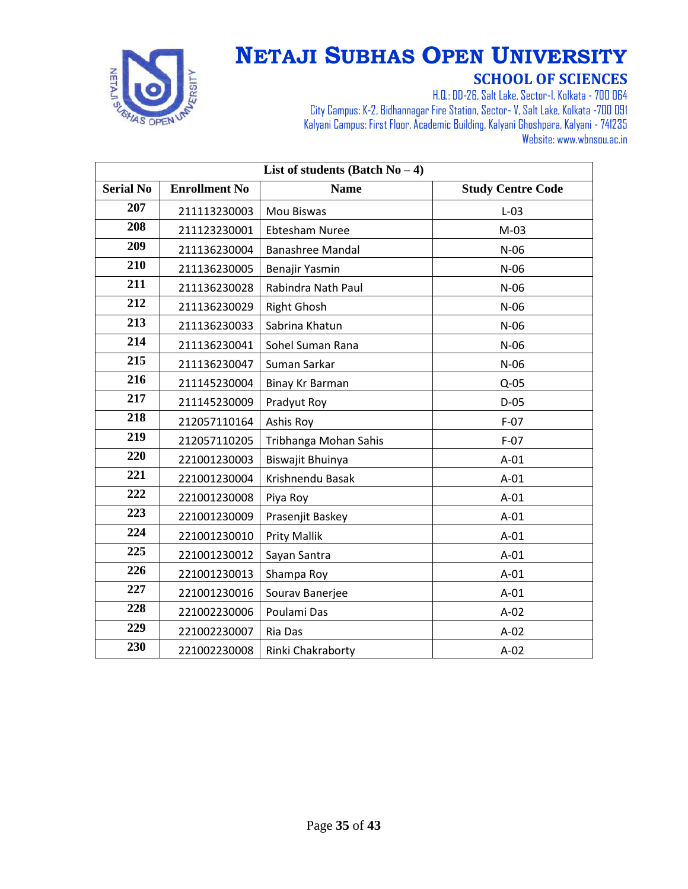

| List of students (Batch $No-4$ ) |                      |                         |                          |
|----------------------------------|----------------------|-------------------------|--------------------------|
| <b>Serial No</b>                 | <b>Enrollment No</b> | <b>Name</b>             | <b>Study Centre Code</b> |
| 207                              | 211113230003         | Mou Biswas              | $L-03$                   |
| 208                              | 211123230001         | <b>Ebtesham Nuree</b>   | $M-03$                   |
| 209                              | 211136230004         | <b>Banashree Mandal</b> | $N-06$                   |
| 210                              | 211136230005         | Benajir Yasmin          | $N-06$                   |
| 211                              | 211136230028         | Rabindra Nath Paul      | $N-06$                   |
| 212                              | 211136230029         | <b>Right Ghosh</b>      | $N-06$                   |
| 213                              | 211136230033         | Sabrina Khatun          | $N-06$                   |
| 214                              | 211136230041         | Sohel Suman Rana        | $N-06$                   |
| 215                              | 211136230047         | Suman Sarkar            | $N-06$                   |
| 216                              | 211145230004         | Binay Kr Barman         | $Q-05$                   |
| 217                              | 211145230009         | Pradyut Roy             | $D-05$                   |
| 218                              | 212057110164         | Ashis Roy               | $F-07$                   |
| 219                              | 212057110205         | Tribhanga Mohan Sahis   | $F-07$                   |
| 220                              | 221001230003         | Biswajit Bhuinya        | $A-01$                   |
| 221                              | 221001230004         | Krishnendu Basak        | $A-01$                   |
| 222                              | 221001230008         | Piya Roy                | $A-01$                   |
| 223                              | 221001230009         | Prasenjit Baskey        | $A-01$                   |
| 224                              | 221001230010         | <b>Prity Mallik</b>     | $A-01$                   |
| 225                              | 221001230012         | Sayan Santra            | $A-01$                   |
| 226                              | 221001230013         | Shampa Roy              | $A-01$                   |
| 227                              | 221001230016         | Sourav Banerjee         | $A-01$                   |
| 228                              | 221002230006         | Poulami Das             | $A-02$                   |
| 229                              | 221002230007         | Ria Das                 | $A-02$                   |
| 230                              | 221002230008         | Rinki Chakraborty       | $A-02$                   |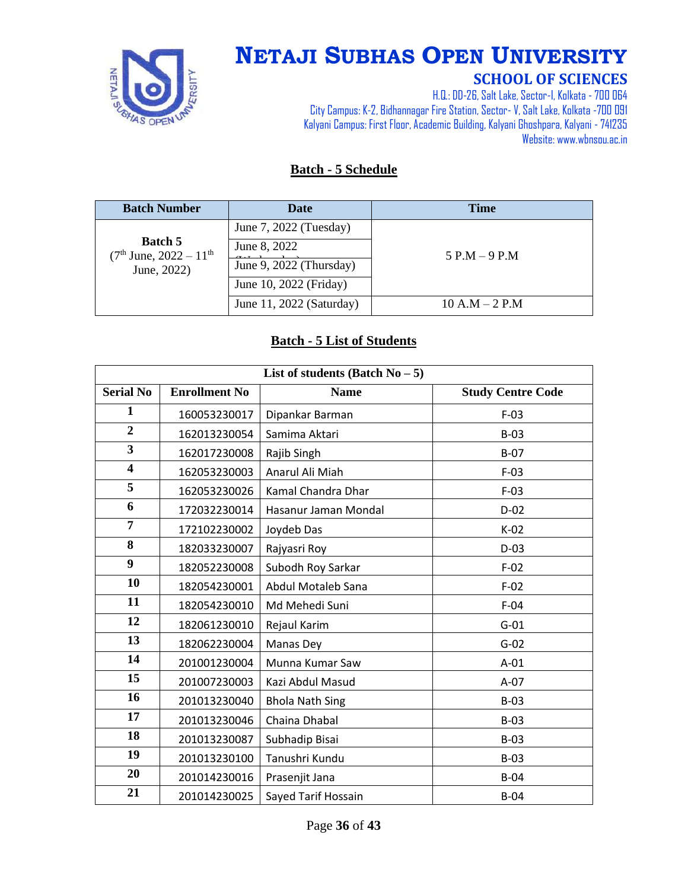

# **NETAJI SUBHAS OPEN UNIVERSITY**

#### **SCHOOL OF SCIENCES**

H.Q.: DD-26, Salt Lake, Sector-I, Kolkata - 700 064 City Campus: K-2, Bidhannagar Fire Station, Sector-V, Salt Lake, Kolkata -700 091 Kalyani Campus: First Floor, Academic Building, Kalyani Ghoshpara, Kalyani - 741235 Website: www.wbnsou.ac.in

#### **Batch - 5 Schedule**

| <b>Batch Number</b>                                         | <b>Date</b>              | <b>Time</b>      |
|-------------------------------------------------------------|--------------------------|------------------|
|                                                             | June 7, 2022 (Tuesday)   |                  |
| <b>Batch 5</b><br>$(7th$ June, $2022 - 11th$<br>June, 2022) | June 8, 2022             | $5$ P.M $-9$ P.M |
|                                                             | June 9, 2022 (Thursday)  |                  |
|                                                             | June 10, 2022 (Friday)   |                  |
|                                                             | June 11, 2022 (Saturday) | $10 A.M - 2 P.M$ |

#### **Batch - 5 List of Students**

| List of students (Batch $No-5$ ) |                      |                        |                          |
|----------------------------------|----------------------|------------------------|--------------------------|
| <b>Serial No</b>                 | <b>Enrollment No</b> | <b>Name</b>            | <b>Study Centre Code</b> |
| 1                                | 160053230017         | Dipankar Barman        | $F-03$                   |
| $\overline{2}$                   | 162013230054         | Samima Aktari          | $B-03$                   |
| $\overline{\mathbf{3}}$          | 162017230008         | Rajib Singh            | $B-07$                   |
| $\overline{\mathbf{4}}$          | 162053230003         | Anarul Ali Miah        | $F-03$                   |
| 5                                | 162053230026         | Kamal Chandra Dhar     | $F-03$                   |
| 6                                | 172032230014         | Hasanur Jaman Mondal   | $D-02$                   |
| $\overline{7}$                   | 172102230002         | Joydeb Das             | $K-02$                   |
| 8                                | 182033230007         | Rajyasri Roy           | $D-03$                   |
| 9                                | 182052230008         | Subodh Roy Sarkar      | $F-02$                   |
| 10                               | 182054230001         | Abdul Motaleb Sana     | $F-02$                   |
| 11                               | 182054230010         | Md Mehedi Suni         | $F-04$                   |
| 12                               | 182061230010         | Rejaul Karim           | $G-01$                   |
| 13                               | 182062230004         | Manas Dey              | $G-02$                   |
| 14                               | 201001230004         | Munna Kumar Saw        | $A-01$                   |
| 15                               | 201007230003         | Kazi Abdul Masud       | $A-07$                   |
| 16                               | 201013230040         | <b>Bhola Nath Sing</b> | $B-03$                   |
| 17                               | 201013230046         | Chaina Dhabal          | $B-03$                   |
| 18                               | 201013230087         | Subhadip Bisai         | $B-03$                   |
| 19                               | 201013230100         | Tanushri Kundu         | $B-03$                   |
| 20                               | 201014230016         | Prasenjit Jana         | $B-04$                   |
| 21                               | 201014230025         | Sayed Tarif Hossain    | $B-04$                   |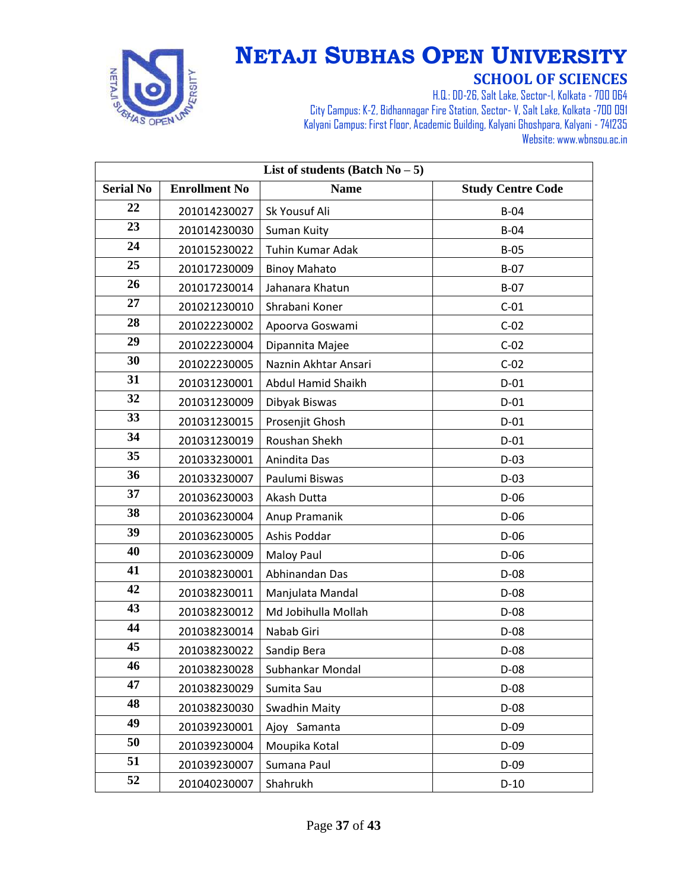

| List of students (Batch $No - 5$ ) |                      |                         |                          |
|------------------------------------|----------------------|-------------------------|--------------------------|
| <b>Serial No</b>                   | <b>Enrollment No</b> | <b>Name</b>             | <b>Study Centre Code</b> |
| 22                                 | 201014230027         | Sk Yousuf Ali           | $B-04$                   |
| 23                                 | 201014230030         | Suman Kuity             | $B-04$                   |
| 24                                 | 201015230022         | <b>Tuhin Kumar Adak</b> | $B-05$                   |
| 25                                 | 201017230009         | <b>Binoy Mahato</b>     | $B-07$                   |
| 26                                 | 201017230014         | Jahanara Khatun         | $B-07$                   |
| 27                                 | 201021230010         | Shrabani Koner          | $C-01$                   |
| 28                                 | 201022230002         | Apoorva Goswami         | $C-02$                   |
| 29                                 | 201022230004         | Dipannita Majee         | $C-02$                   |
| 30                                 | 201022230005         | Naznin Akhtar Ansari    | $C-02$                   |
| 31                                 | 201031230001         | Abdul Hamid Shaikh      | $D-01$                   |
| 32                                 | 201031230009         | Dibyak Biswas           | $D-01$                   |
| 33                                 | 201031230015         | Prosenjit Ghosh         | $D-01$                   |
| 34                                 | 201031230019         | Roushan Shekh           | $D-01$                   |
| 35                                 | 201033230001         | Anindita Das            | $D-03$                   |
| 36                                 | 201033230007         | Paulumi Biswas          | $D-03$                   |
| 37                                 | 201036230003         | Akash Dutta             | $D-06$                   |
| 38                                 | 201036230004         | Anup Pramanik           | $D-06$                   |
| 39                                 | 201036230005         | Ashis Poddar            | $D-06$                   |
| 40                                 | 201036230009         | Maloy Paul              | $D-06$                   |
| 41                                 | 201038230001         | Abhinandan Das          | D-08                     |
| 42                                 | 201038230011         | Manjulata Mandal        | $D-08$                   |
| 43                                 | 201038230012         | Md Jobihulla Mollah     | $D-08$                   |
| 44                                 | 201038230014         | Nabab Giri              | $D-08$                   |
| 45                                 | 201038230022         | Sandip Bera             | $D-08$                   |
| 46                                 | 201038230028         | Subhankar Mondal        | D-08                     |
| 47                                 | 201038230029         | Sumita Sau              | $D-08$                   |
| 48                                 | 201038230030         | Swadhin Maity           | $D-08$                   |
| 49                                 | 201039230001         | Ajoy Samanta            | $D-09$                   |
| 50                                 | 201039230004         | Moupika Kotal           | $D-09$                   |
| 51                                 | 201039230007         | Sumana Paul             | $D-09$                   |
| 52                                 | 201040230007         | Shahrukh                | $D-10$                   |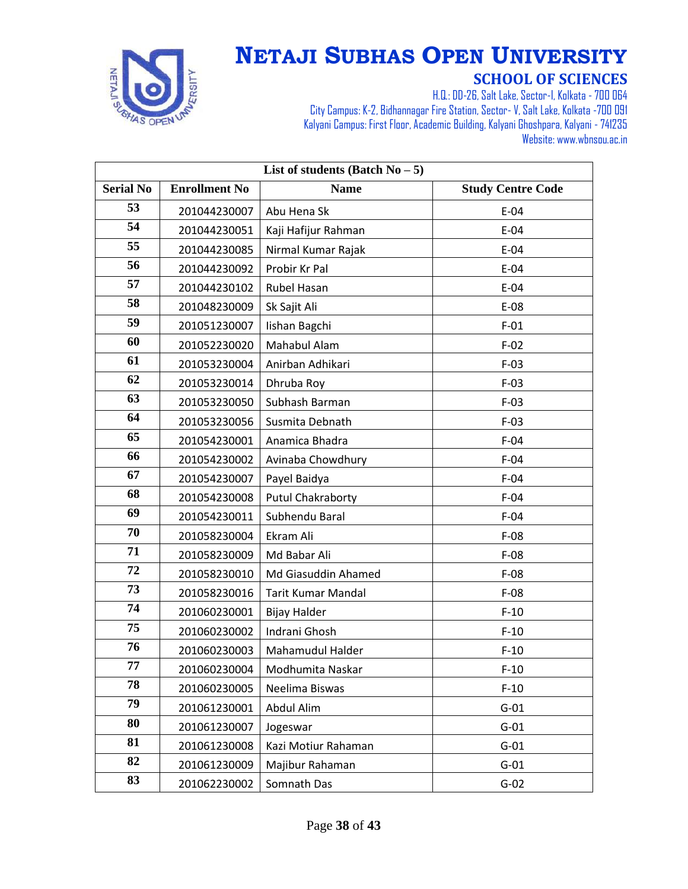

| List of students (Batch $No - 5$ ) |                      |                           |                          |
|------------------------------------|----------------------|---------------------------|--------------------------|
| <b>Serial No</b>                   | <b>Enrollment No</b> | <b>Name</b>               | <b>Study Centre Code</b> |
| 53                                 | 201044230007         | Abu Hena Sk               | $E-04$                   |
| 54                                 | 201044230051         | Kaji Hafijur Rahman       | $E-04$                   |
| 55                                 | 201044230085         | Nirmal Kumar Rajak        | $E-04$                   |
| 56                                 | 201044230092         | Probir Kr Pal             | $E-04$                   |
| 57                                 | 201044230102         | Rubel Hasan               | $E-04$                   |
| 58                                 | 201048230009         | Sk Sajit Ali              | $E-08$                   |
| 59                                 | 201051230007         | lishan Bagchi             | $F-01$                   |
| 60                                 | 201052230020         | Mahabul Alam              | $F-02$                   |
| 61                                 | 201053230004         | Anirban Adhikari          | $F-03$                   |
| 62                                 | 201053230014         | Dhruba Roy                | $F-03$                   |
| 63                                 | 201053230050         | Subhash Barman            | $F-03$                   |
| 64                                 | 201053230056         | Susmita Debnath           | $F-03$                   |
| 65                                 | 201054230001         | Anamica Bhadra            | $F-04$                   |
| 66                                 | 201054230002         | Avinaba Chowdhury         | $F-04$                   |
| 67                                 | 201054230007         | Payel Baidya              | $F-04$                   |
| 68                                 | 201054230008         | <b>Putul Chakraborty</b>  | $F-04$                   |
| 69                                 | 201054230011         | Subhendu Baral            | $F-04$                   |
| 70                                 | 201058230004         | Ekram Ali                 | $F-08$                   |
| 71                                 | 201058230009         | Md Babar Ali              | $F-08$                   |
| 72                                 | 201058230010         | Md Giasuddin Ahamed       | $F-08$                   |
| 73                                 | 201058230016         | <b>Tarit Kumar Mandal</b> | $F-08$                   |
| 74                                 | 201060230001         | <b>Bijay Halder</b>       | $F-10$                   |
| 75                                 | 201060230002         | Indrani Ghosh             | $F-10$                   |
| 76                                 | 201060230003         | Mahamudul Halder          | $F-10$                   |
| 77                                 | 201060230004         | Modhumita Naskar          | $F-10$                   |
| 78                                 | 201060230005         | Neelima Biswas            | $F-10$                   |
| 79                                 | 201061230001         | Abdul Alim                | $G-01$                   |
| 80                                 | 201061230007         | Jogeswar                  | $G-01$                   |
| 81                                 | 201061230008         | Kazi Motiur Rahaman       | $G-01$                   |
| 82                                 | 201061230009         | Majibur Rahaman           | $G-01$                   |
| 83                                 | 201062230002         | Somnath Das               | $G-02$                   |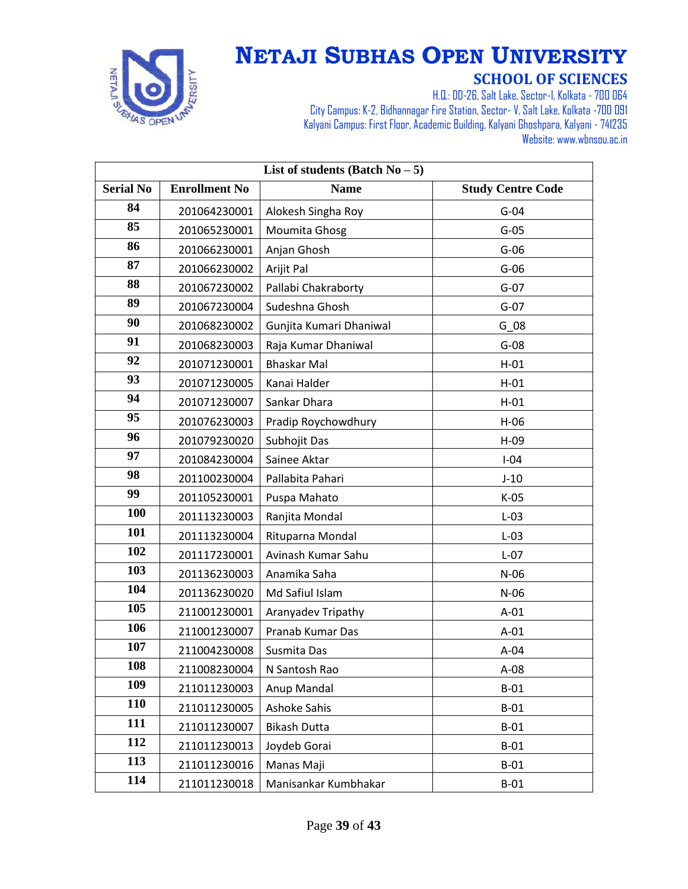

| List of students (Batch $No-5$ ) |                      |                         |                          |
|----------------------------------|----------------------|-------------------------|--------------------------|
| <b>Serial No</b>                 | <b>Enrollment No</b> | <b>Name</b>             | <b>Study Centre Code</b> |
| 84                               | 201064230001         | Alokesh Singha Roy      | $G-04$                   |
| 85                               | 201065230001         | Moumita Ghosg           | $G-05$                   |
| 86                               | 201066230001         | Anjan Ghosh             | $G-06$                   |
| 87                               | 201066230002         | Arijit Pal              | $G-06$                   |
| 88                               | 201067230002         | Pallabi Chakraborty     | $G-07$                   |
| 89                               | 201067230004         | Sudeshna Ghosh          | $G-07$                   |
| 90                               | 201068230002         | Gunjita Kumari Dhaniwal | G 08                     |
| 91                               | 201068230003         | Raja Kumar Dhaniwal     | $G-08$                   |
| 92                               | 201071230001         | <b>Bhaskar Mal</b>      | $H-01$                   |
| 93                               | 201071230005         | Kanai Halder            | $H-01$                   |
| 94                               | 201071230007         | Sankar Dhara            | $H-01$                   |
| 95                               | 201076230003         | Pradip Roychowdhury     | $H-06$                   |
| 96                               | 201079230020         | Subhojit Das            | $H-09$                   |
| 97                               | 201084230004         | Sainee Aktar            | $I-04$                   |
| 98                               | 201100230004         | Pallabita Pahari        | $J-10$                   |
| 99                               | 201105230001         | Puspa Mahato            | $K-05$                   |
| 100                              | 201113230003         | Ranjita Mondal          | $L-03$                   |
| 101                              | 201113230004         | Rituparna Mondal        | $L-03$                   |
| 102                              | 201117230001         | Avinash Kumar Sahu      | $L-07$                   |
| 103                              | 201136230003         | Anamika Saha            | $N-06$                   |
| 104                              | 201136230020         | Md Safiul Islam         | $N-06$                   |
| 105                              | 211001230001         | Aranyadev Tripathy      | $A-01$                   |
| 106                              | 211001230007         | Pranab Kumar Das        | $A-01$                   |
| 107                              | 211004230008         | Susmita Das             | $A-04$                   |
| 108                              | 211008230004         | N Santosh Rao           | $A-08$                   |
| 109                              | 211011230003         | Anup Mandal             | $B-01$                   |
| <b>110</b>                       | 211011230005         | Ashoke Sahis            | $B-01$                   |
| 111                              | 211011230007         | <b>Bikash Dutta</b>     | $B-01$                   |
| 112                              | 211011230013         | Joydeb Gorai            | $B-01$                   |
| 113                              | 211011230016         | Manas Maji              | $B-01$                   |
| 114                              | 211011230018         | Manisankar Kumbhakar    | $B-01$                   |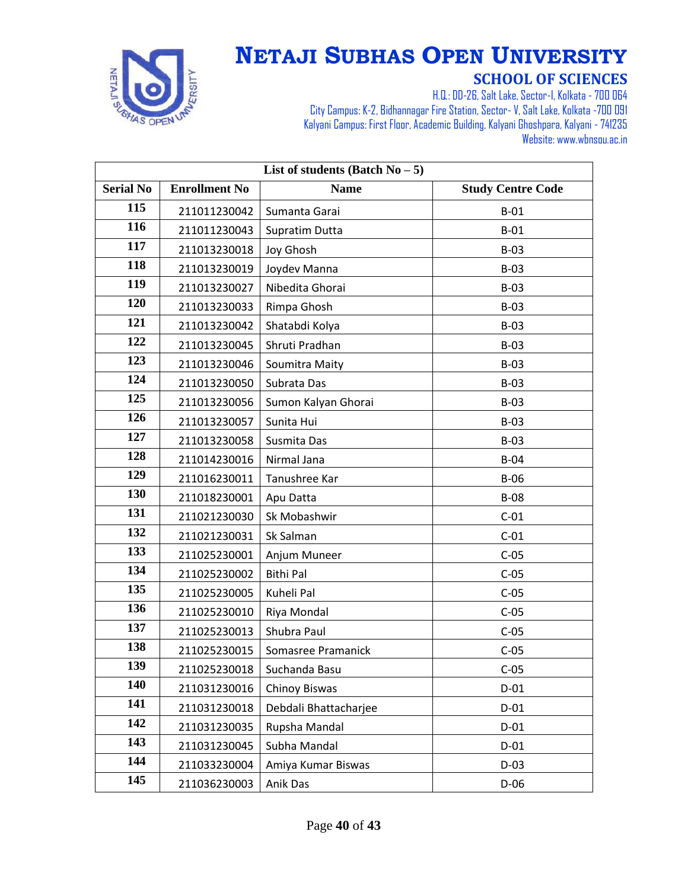

| List of students (Batch $No-5$ ) |                      |                       |                          |
|----------------------------------|----------------------|-----------------------|--------------------------|
| <b>Serial No</b>                 | <b>Enrollment No</b> | <b>Name</b>           | <b>Study Centre Code</b> |
| 115                              | 211011230042         | Sumanta Garai         | $B-01$                   |
| 116                              | 211011230043         | Supratim Dutta        | $B-01$                   |
| 117                              | 211013230018         | Joy Ghosh             | $B-03$                   |
| 118                              | 211013230019         | Joydev Manna          | $B-03$                   |
| 119                              | 211013230027         | Nibedita Ghorai       | $B-03$                   |
| 120                              | 211013230033         | Rimpa Ghosh           | $B-03$                   |
| 121                              | 211013230042         | Shatabdi Kolya        | $B-03$                   |
| 122                              | 211013230045         | Shruti Pradhan        | $B-03$                   |
| 123                              | 211013230046         | Soumitra Maity        | $B-03$                   |
| 124                              | 211013230050         | Subrata Das           | $B-03$                   |
| 125                              | 211013230056         | Sumon Kalyan Ghorai   | $B-03$                   |
| 126                              | 211013230057         | Sunita Hui            | $B-03$                   |
| 127                              | 211013230058         | Susmita Das           | $B-03$                   |
| 128                              | 211014230016         | Nirmal Jana           | $B-04$                   |
| 129                              | 211016230011         | Tanushree Kar         | $B-06$                   |
| 130                              | 211018230001         | Apu Datta             | <b>B-08</b>              |
| 131                              | 211021230030         | Sk Mobashwir          | $C-01$                   |
| 132                              | 211021230031         | Sk Salman             | $C-01$                   |
| 133                              | 211025230001         | Anjum Muneer          | $C-05$                   |
| 134                              | 211025230002         | Bithi Pal             | $C-05$                   |
| 135                              | 211025230005         | Kuheli Pal            | $C-05$                   |
| 136                              | 211025230010         | Riya Mondal           | $C-05$                   |
| 137                              | 211025230013         | Shubra Paul           | $C-05$                   |
| 138                              | 211025230015         | Somasree Pramanick    | $C-05$                   |
| 139                              | 211025230018         | Suchanda Basu         | $C-05$                   |
| 140                              | 211031230016         | Chinoy Biswas         | $D-01$                   |
| 141                              | 211031230018         | Debdali Bhattacharjee | $D-01$                   |
| 142                              | 211031230035         | Rupsha Mandal         | $D-01$                   |
| 143                              | 211031230045         | Subha Mandal          | $D-01$                   |
| 144                              | 211033230004         | Amiya Kumar Biswas    | $D-03$                   |
| 145                              | 211036230003         | Anik Das              | $D-06$                   |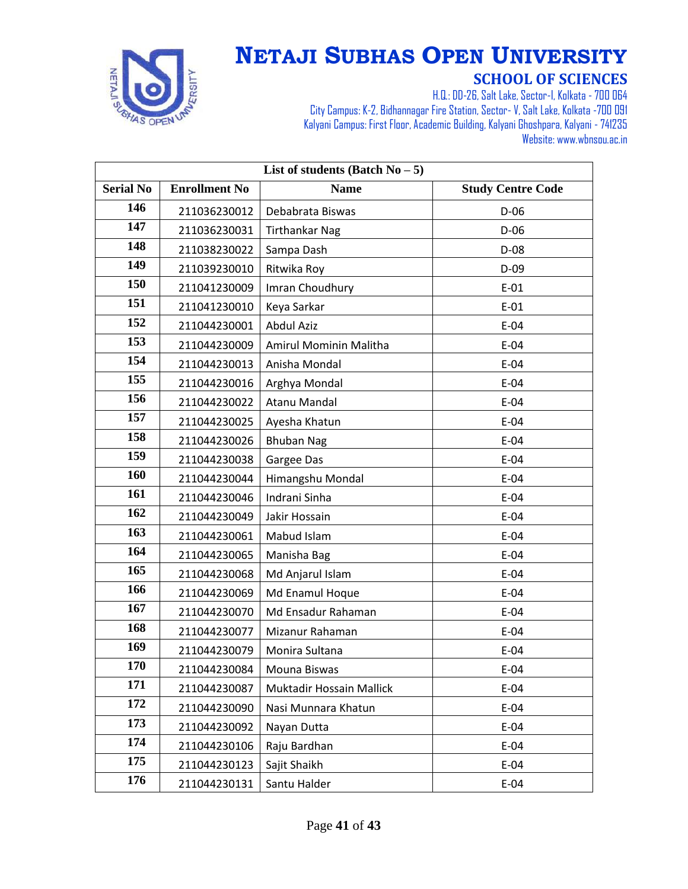

| List of students (Batch $No - 5$ ) |                      |                          |                          |
|------------------------------------|----------------------|--------------------------|--------------------------|
| <b>Serial No</b>                   | <b>Enrollment No</b> | <b>Name</b>              | <b>Study Centre Code</b> |
| 146                                | 211036230012         | Debabrata Biswas         | D-06                     |
| 147                                | 211036230031         | <b>Tirthankar Nag</b>    | $D-06$                   |
| 148                                | 211038230022         | Sampa Dash               | $D-08$                   |
| 149                                | 211039230010         | Ritwika Roy              | $D-09$                   |
| 150                                | 211041230009         | Imran Choudhury          | $E-01$                   |
| 151                                | 211041230010         | Keya Sarkar              | $E-01$                   |
| 152                                | 211044230001         | <b>Abdul Aziz</b>        | $E-04$                   |
| 153                                | 211044230009         | Amirul Mominin Malitha   | $E-04$                   |
| 154                                | 211044230013         | Anisha Mondal            | $E-04$                   |
| 155                                | 211044230016         | Arghya Mondal            | $E-04$                   |
| 156                                | 211044230022         | Atanu Mandal             | $E-04$                   |
| 157                                | 211044230025         | Ayesha Khatun            | $E-04$                   |
| 158                                | 211044230026         | <b>Bhuban Nag</b>        | $E-04$                   |
| 159                                | 211044230038         | Gargee Das               | $E-04$                   |
| 160                                | 211044230044         | Himangshu Mondal         | $E-04$                   |
| 161                                | 211044230046         | Indrani Sinha            | $E-04$                   |
| 162                                | 211044230049         | Jakir Hossain            | $E-04$                   |
| 163                                | 211044230061         | Mabud Islam              | $E-04$                   |
| 164                                | 211044230065         | Manisha Bag              | $E-04$                   |
| 165                                | 211044230068         | Md Anjarul Islam         | $E-04$                   |
| 166                                | 211044230069         | Md Enamul Hoque          | $E-04$                   |
| 167                                | 211044230070         | Md Ensadur Rahaman       | $E-04$                   |
| 168                                | 211044230077         | Mizanur Rahaman          | $E-04$                   |
| 169                                | 211044230079         | Monira Sultana           | $E-04$                   |
| 170                                | 211044230084         | Mouna Biswas             | $E-04$                   |
| 171                                | 211044230087         | Muktadir Hossain Mallick | $E-04$                   |
| 172                                | 211044230090         | Nasi Munnara Khatun      | $E-04$                   |
| 173                                | 211044230092         | Nayan Dutta              | $E-04$                   |
| 174                                | 211044230106         | Raju Bardhan             | $E-04$                   |
| 175                                | 211044230123         | Sajit Shaikh             | $E-04$                   |
| 176                                | 211044230131         | Santu Halder             | $E-04$                   |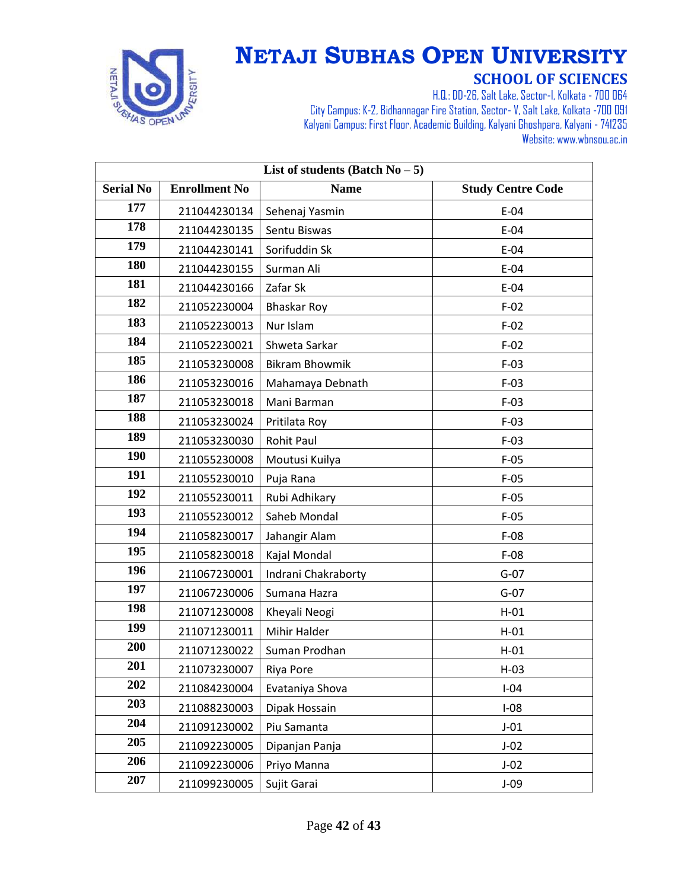

| List of students (Batch $No - 5$ ) |                      |                       |                          |
|------------------------------------|----------------------|-----------------------|--------------------------|
| <b>Serial No</b>                   | <b>Enrollment No</b> | <b>Name</b>           | <b>Study Centre Code</b> |
| 177                                | 211044230134         | Sehenaj Yasmin        | $E-04$                   |
| 178                                | 211044230135         | Sentu Biswas          | $E-04$                   |
| 179                                | 211044230141         | Sorifuddin Sk         | $E-04$                   |
| 180                                | 211044230155         | Surman Ali            | $E-04$                   |
| 181                                | 211044230166         | Zafar Sk              | $E-04$                   |
| 182                                | 211052230004         | <b>Bhaskar Roy</b>    | $F-02$                   |
| 183                                | 211052230013         | Nur Islam             | $F-02$                   |
| 184                                | 211052230021         | Shweta Sarkar         | $F-02$                   |
| 185                                | 211053230008         | <b>Bikram Bhowmik</b> | $F-03$                   |
| 186                                | 211053230016         | Mahamaya Debnath      | $F-03$                   |
| 187                                | 211053230018         | Mani Barman           | $F-03$                   |
| 188                                | 211053230024         | Pritilata Roy         | $F-03$                   |
| 189                                | 211053230030         | <b>Rohit Paul</b>     | $F-03$                   |
| <b>190</b>                         | 211055230008         | Moutusi Kuilya        | $F-05$                   |
| 191                                | 211055230010         | Puja Rana             | $F-05$                   |
| 192                                | 211055230011         | Rubi Adhikary         | $F-05$                   |
| 193                                | 211055230012         | Saheb Mondal          | $F-05$                   |
| 194                                | 211058230017         | Jahangir Alam         | $F-08$                   |
| 195                                | 211058230018         | Kajal Mondal          | $F-08$                   |
| 196                                | 211067230001         | Indrani Chakraborty   | $G-07$                   |
| 197                                | 211067230006         | Sumana Hazra          | $G-07$                   |
| 198                                | 211071230008         | Kheyali Neogi         | $H-01$                   |
| 199                                | 211071230011         | Mihir Halder          | $H-01$                   |
| 200                                | 211071230022         | Suman Prodhan         | $H-01$                   |
| 201                                | 211073230007         | Riya Pore             | $H-03$                   |
| 202                                | 211084230004         | Evataniya Shova       | $I-04$                   |
| 203                                | 211088230003         | Dipak Hossain         | $I-08$                   |
| 204                                | 211091230002         | Piu Samanta           | $J-01$                   |
| 205                                | 211092230005         | Dipanjan Panja        | $J-02$                   |
| 206                                | 211092230006         | Priyo Manna           | $J-02$                   |
| 207                                | 211099230005         | Sujit Garai           | $J-09$                   |